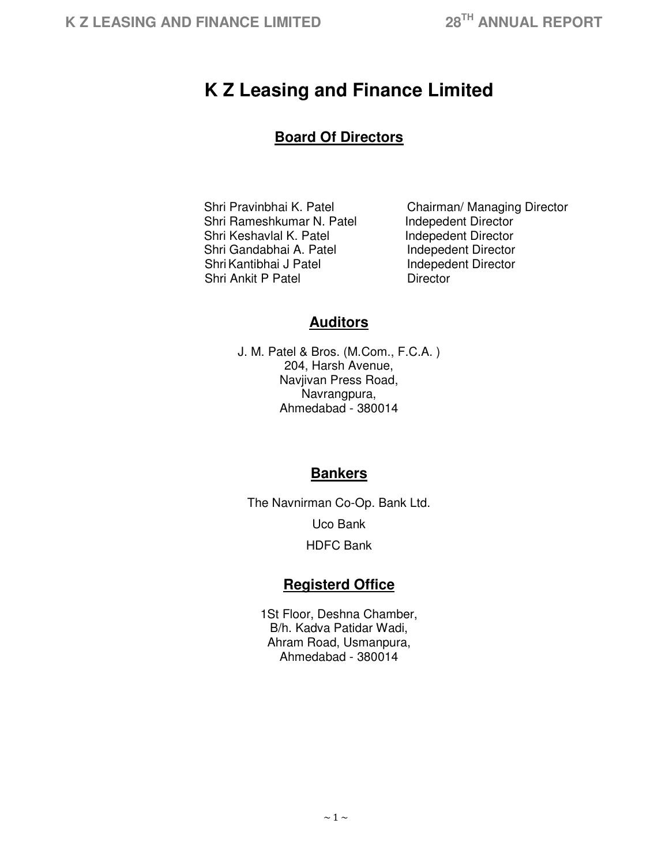# **K Z Leasing and Finance Limited**

# **Board Of Directors**

Shri Rameshkumar N. Patel Indepedent Director Shri Keshavlal K. Patel **Indepedent Director**<br>
Shri Gandabhai A. Patel Indepedent Director Shri Gandabhai A. Patel Shri Kantibhai J Patel **Indepedent Director** Shri Ankit P Patel **Director** 

Shri Pravinbhai K. Patel Chairman/ Managing Director

# **Auditors**

J. M. Patel & Bros. (M.Com., F.C.A. ) 204, Harsh Avenue, Navjivan Press Road, Navrangpura, Ahmedabad - 380014

# **Bankers**

The Navnirman Co-Op. Bank Ltd. Uco Bank HDFC Bank

# **Registerd Office**

1St Floor, Deshna Chamber, B/h. Kadva Patidar Wadi, Ahram Road, Usmanpura, Ahmedabad - 380014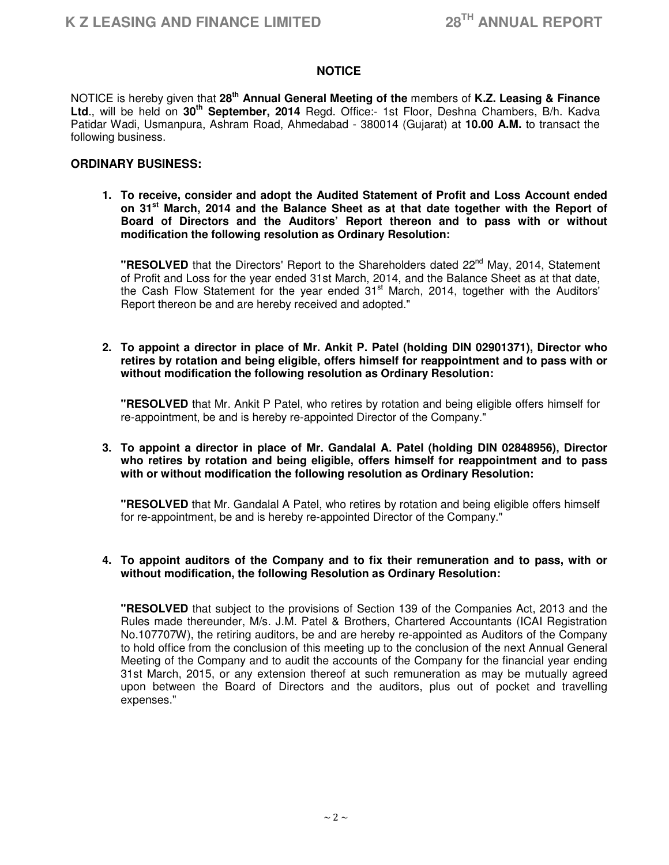# **NOTICE**

NOTICE is hereby given that **28th Annual General Meeting of the** members of **K.Z. Leasing & Finance Ltd**., will be held on **30th September, 2014** Regd. Office:- 1st Floor, Deshna Chambers, B/h. Kadva Patidar Wadi, Usmanpura, Ashram Road, Ahmedabad - 380014 (Gujarat) at **10.00 A.M.** to transact the following business.

#### **ORDINARY BUSINESS:**

**1. To receive, consider and adopt the Audited Statement of Profit and Loss Account ended on 31st March, 2014 and the Balance Sheet as at that date together with the Report of Board of Directors and the Auditors' Report thereon and to pass with or without modification the following resolution as Ordinary Resolution:**

**"RESOLVED** that the Directors' Report to the Shareholders dated 22<sup>nd</sup> May, 2014, Statement of Profit and Loss for the year ended 31st March, 2014, and the Balance Sheet as at that date, the Cash Flow Statement for the year ended  $31<sup>st</sup>$  March, 2014, together with the Auditors' Report thereon be and are hereby received and adopted."

**2. To appoint a director in place of Mr. Ankit P. Patel (holding DIN 02901371), Director who retires by rotation and being eligible, offers himself for reappointment and to pass with or without modification the following resolution as Ordinary Resolution:**

**"RESOLVED** that Mr. Ankit P Patel, who retires by rotation and being eligible offers himself for re-appointment, be and is hereby re-appointed Director of the Company."

#### **3. To appoint a director in place of Mr. Gandalal A. Patel (holding DIN 02848956), Director who retires by rotation and being eligible, offers himself for reappointment and to pass with or without modification the following resolution as Ordinary Resolution:**

**"RESOLVED** that Mr. Gandalal A Patel, who retires by rotation and being eligible offers himself for re-appointment, be and is hereby re-appointed Director of the Company."

#### **4. To appoint auditors of the Company and to fix their remuneration and to pass, with or without modification, the following Resolution as Ordinary Resolution:**

 **"RESOLVED** that subject to the provisions of Section 139 of the Companies Act, 2013 and the Rules made thereunder, M/s. J.M. Patel & Brothers, Chartered Accountants (ICAI Registration No.107707W), the retiring auditors, be and are hereby re-appointed as Auditors of the Company to hold office from the conclusion of this meeting up to the conclusion of the next Annual General Meeting of the Company and to audit the accounts of the Company for the financial year ending 31st March, 2015, or any extension thereof at such remuneration as may be mutually agreed upon between the Board of Directors and the auditors, plus out of pocket and travelling expenses."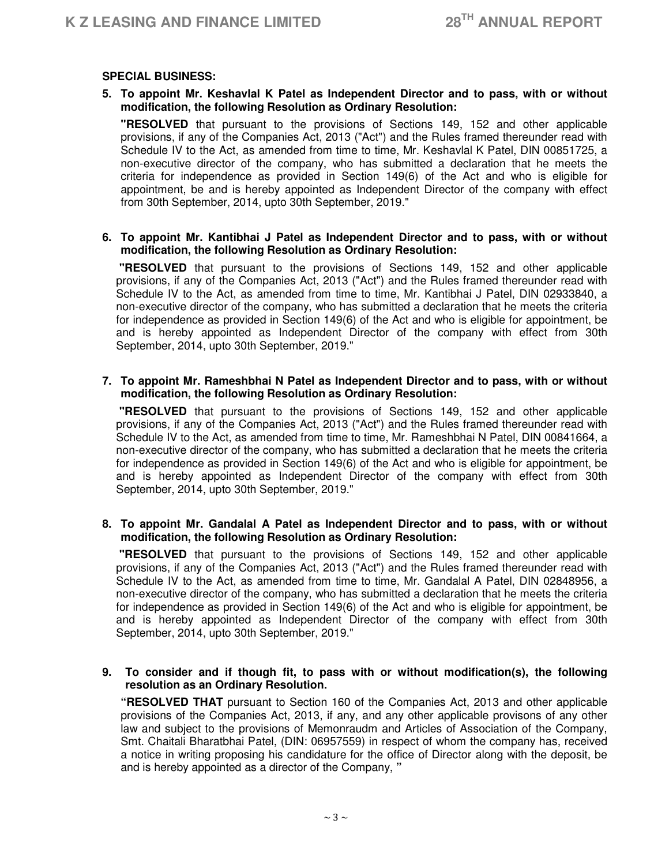# **SPECIAL BUSINESS:**

# **5. To appoint Mr. Keshavlal K Patel as Independent Director and to pass, with or without modification, the following Resolution as Ordinary Resolution:**

**"RESOLVED** that pursuant to the provisions of Sections 149, 152 and other applicable provisions, if any of the Companies Act, 2013 ("Act") and the Rules framed thereunder read with Schedule IV to the Act, as amended from time to time, Mr. Keshavlal K Patel, DIN 00851725, a non-executive director of the company, who has submitted a declaration that he meets the criteria for independence as provided in Section 149(6) of the Act and who is eligible for appointment, be and is hereby appointed as Independent Director of the company with effect from 30th September, 2014, upto 30th September, 2019."

#### **6. To appoint Mr. Kantibhai J Patel as Independent Director and to pass, with or without modification, the following Resolution as Ordinary Resolution:**

 **"RESOLVED** that pursuant to the provisions of Sections 149, 152 and other applicable provisions, if any of the Companies Act, 2013 ("Act") and the Rules framed thereunder read with Schedule IV to the Act, as amended from time to time, Mr. Kantibhai J Patel, DIN 02933840, a non-executive director of the company, who has submitted a declaration that he meets the criteria for independence as provided in Section 149(6) of the Act and who is eligible for appointment, be and is hereby appointed as Independent Director of the company with effect from 30th September, 2014, upto 30th September, 2019."

#### **7. To appoint Mr. Rameshbhai N Patel as Independent Director and to pass, with or without modification, the following Resolution as Ordinary Resolution:**

 **"RESOLVED** that pursuant to the provisions of Sections 149, 152 and other applicable provisions, if any of the Companies Act, 2013 ("Act") and the Rules framed thereunder read with Schedule IV to the Act, as amended from time to time, Mr. Rameshbhai N Patel, DIN 00841664, a non-executive director of the company, who has submitted a declaration that he meets the criteria for independence as provided in Section 149(6) of the Act and who is eligible for appointment, be and is hereby appointed as Independent Director of the company with effect from 30th September, 2014, upto 30th September, 2019."

#### **8. To appoint Mr. Gandalal A Patel as Independent Director and to pass, with or without modification, the following Resolution as Ordinary Resolution:**

 **"RESOLVED** that pursuant to the provisions of Sections 149, 152 and other applicable provisions, if any of the Companies Act, 2013 ("Act") and the Rules framed thereunder read with Schedule IV to the Act, as amended from time to time, Mr. Gandalal A Patel, DIN 02848956, a non-executive director of the company, who has submitted a declaration that he meets the criteria for independence as provided in Section 149(6) of the Act and who is eligible for appointment, be and is hereby appointed as Independent Director of the company with effect from 30th September, 2014, upto 30th September, 2019."

# **9. To consider and if though fit, to pass with or without modification(s), the following resolution as an Ordinary Resolution.**

**"RESOLVED THAT** pursuant to Section 160 of the Companies Act, 2013 and other applicable provisions of the Companies Act, 2013, if any, and any other applicable provisons of any other law and subject to the provisions of Memonraudm and Articles of Association of the Company, Smt. Chaitali Bharatbhai Patel, (DIN: 06957559) in respect of whom the company has, received a notice in writing proposing his candidature for the office of Director along with the deposit, be and is hereby appointed as a director of the Company, **"**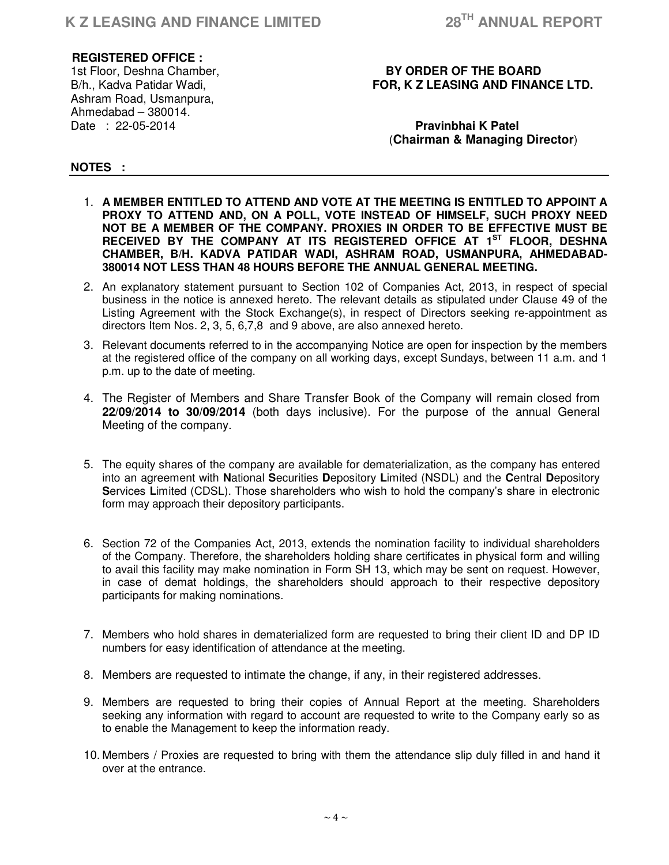# **REGISTERED OFFICE :**

Ashram Road, Usmanpura, Ahmedabad – 380014. Date : 22-05-2014 **Pravinbhai K Patel**

# 1st Floor, Deshna Chamber, **BY ORDER OF THE BOARD** B/h., Kadva Patidar Wadi, The **FOR, K Z LEASING AND FINANCE LTD.**

# (**Chairman & Managing Director**)

# **NOTES :**

- 1. **A MEMBER ENTITLED TO ATTEND AND VOTE AT THE MEETING IS ENTITLED TO APPOINT A PROXY TO ATTEND AND, ON A POLL, VOTE INSTEAD OF HIMSELF, SUCH PROXY NEED NOT BE A MEMBER OF THE COMPANY. PROXIES IN ORDER TO BE EFFECTIVE MUST BE RECEIVED BY THE COMPANY AT ITS REGISTERED OFFICE AT 1ST FLOOR, DESHNA CHAMBER, B/H. KADVA PATIDAR WADI, ASHRAM ROAD, USMANPURA, AHMEDABAD-380014 NOT LESS THAN 48 HOURS BEFORE THE ANNUAL GENERAL MEETING.**
- 2. An explanatory statement pursuant to Section 102 of Companies Act, 2013, in respect of special business in the notice is annexed hereto. The relevant details as stipulated under Clause 49 of the Listing Agreement with the Stock Exchange(s), in respect of Directors seeking re-appointment as directors Item Nos. 2, 3, 5, 6,7,8 and 9 above, are also annexed hereto.
- 3. Relevant documents referred to in the accompanying Notice are open for inspection by the members at the registered office of the company on all working days, except Sundays, between 11 a.m. and 1 p.m. up to the date of meeting.
- 4. The Register of Members and Share Transfer Book of the Company will remain closed from **22/09/2014 to 30/09/2014** (both days inclusive). For the purpose of the annual General Meeting of the company.
- 5. The equity shares of the company are available for dematerialization, as the company has entered into an agreement with **N**ational **S**ecurities **D**epository **L**imited (NSDL) and the **C**entral **D**epository **S**ervices **L**imited (CDSL). Those shareholders who wish to hold the company's share in electronic form may approach their depository participants.
- 6. Section 72 of the Companies Act, 2013, extends the nomination facility to individual shareholders of the Company. Therefore, the shareholders holding share certificates in physical form and willing to avail this facility may make nomination in Form SH 13, which may be sent on request. However, in case of demat holdings, the shareholders should approach to their respective depository participants for making nominations.
- 7. Members who hold shares in dematerialized form are requested to bring their client ID and DP ID numbers for easy identification of attendance at the meeting.
- 8. Members are requested to intimate the change, if any, in their registered addresses.
- 9. Members are requested to bring their copies of Annual Report at the meeting. Shareholders seeking any information with regard to account are requested to write to the Company early so as to enable the Management to keep the information ready.
- 10. Members / Proxies are requested to bring with them the attendance slip duly filled in and hand it over at the entrance.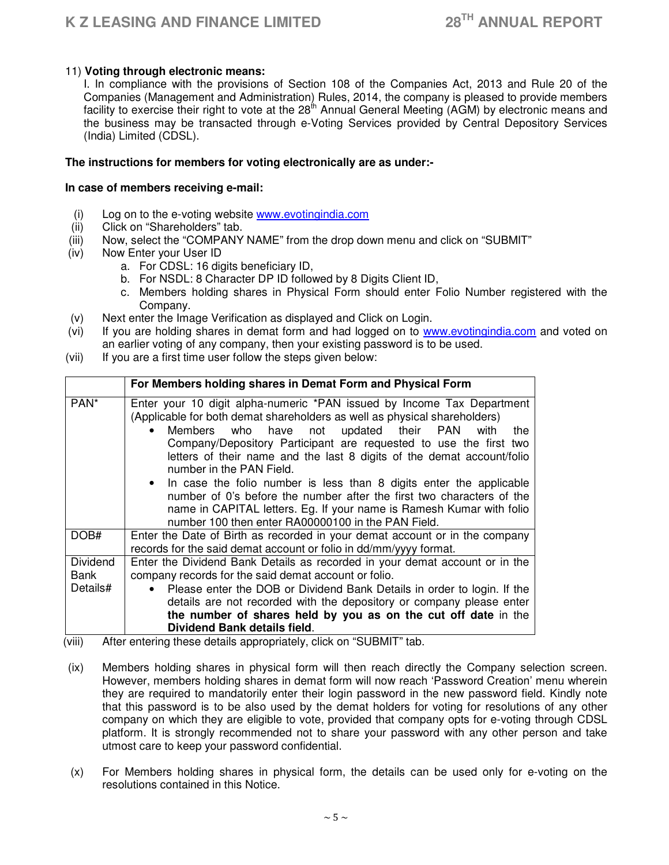# 11) **Voting through electronic means:**

I. In compliance with the provisions of Section 108 of the Companies Act, 2013 and Rule 20 of the Companies (Management and Administration) Rules, 2014, the company is pleased to provide members facility to exercise their right to vote at the  $28<sup>th</sup>$  Annual General Meeting (AGM) by electronic means and the business may be transacted through e-Voting Services provided by Central Depository Services (India) Limited (CDSL).

# **The instructions for members for voting electronically are as under:-**

#### **In case of members receiving e-mail:**

- (i) Log on to the e-voting website www.evotingindia.com
- (ii) Click on "Shareholders" tab.
- (iii) Now, select the "COMPANY NAME" from the drop down menu and click on "SUBMIT"
- (iv) Now Enter your User ID
	- a. For CDSL: 16 digits beneficiary ID,
	- b. For NSDL: 8 Character DP ID followed by 8 Digits Client ID,
	- c. Members holding shares in Physical Form should enter Folio Number registered with the Company.
- (v) Next enter the Image Verification as displayed and Click on Login.
- (vi) If you are holding shares in demat form and had logged on to www.evotingindia.com and voted on an earlier voting of any company, then your existing password is to be used.
- (vii) If you are a first time user follow the steps given below:

|                         | For Members holding shares in Demat Form and Physical Form                                                                                                                                                                                                                                                                                                                                                                                                                                                                                                                                                                                                           |  |  |
|-------------------------|----------------------------------------------------------------------------------------------------------------------------------------------------------------------------------------------------------------------------------------------------------------------------------------------------------------------------------------------------------------------------------------------------------------------------------------------------------------------------------------------------------------------------------------------------------------------------------------------------------------------------------------------------------------------|--|--|
| PAN <sup>*</sup>        | Enter your 10 digit alpha-numeric *PAN issued by Income Tax Department<br>(Applicable for both demat shareholders as well as physical shareholders)<br>Members who have not updated their PAN with<br>the<br>Company/Depository Participant are requested to use the first two<br>letters of their name and the last 8 digits of the demat account/folio<br>number in the PAN Field.<br>• In case the folio number is less than 8 digits enter the applicable<br>number of 0's before the number after the first two characters of the<br>name in CAPITAL letters. Eg. If your name is Ramesh Kumar with folio<br>number 100 then enter RA00000100 in the PAN Field. |  |  |
| DOB#                    | Enter the Date of Birth as recorded in your demat account or in the company<br>records for the said demat account or folio in dd/mm/yyyy format.                                                                                                                                                                                                                                                                                                                                                                                                                                                                                                                     |  |  |
| <b>Dividend</b><br>Bank | Enter the Dividend Bank Details as recorded in your demat account or in the<br>company records for the said demat account or folio.                                                                                                                                                                                                                                                                                                                                                                                                                                                                                                                                  |  |  |
| Details#                | Please enter the DOB or Dividend Bank Details in order to login. If the<br>$\bullet$                                                                                                                                                                                                                                                                                                                                                                                                                                                                                                                                                                                 |  |  |
|                         | details are not recorded with the depository or company please enter                                                                                                                                                                                                                                                                                                                                                                                                                                                                                                                                                                                                 |  |  |
|                         | the number of shares held by you as on the cut off date in the                                                                                                                                                                                                                                                                                                                                                                                                                                                                                                                                                                                                       |  |  |
| 4.333                   | Dividend Bank details field.<br>to the control of the component of the control of the COLLIDA ALT 20 to be                                                                                                                                                                                                                                                                                                                                                                                                                                                                                                                                                           |  |  |

(viii) After entering these details appropriately, click on "SUBMIT" tab.

- (ix) Members holding shares in physical form will then reach directly the Company selection screen. However, members holding shares in demat form will now reach 'Password Creation' menu wherein they are required to mandatorily enter their login password in the new password field. Kindly note that this password is to be also used by the demat holders for voting for resolutions of any other company on which they are eligible to vote, provided that company opts for e-voting through CDSL platform. It is strongly recommended not to share your password with any other person and take utmost care to keep your password confidential.
- (x) For Members holding shares in physical form, the details can be used only for e-voting on the resolutions contained in this Notice.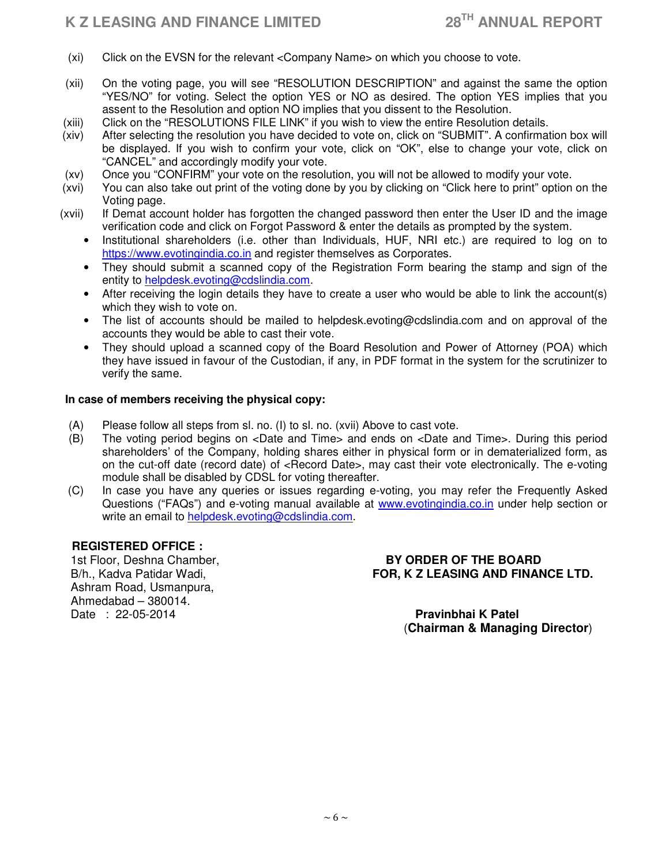# **K Z LEASING AND FINANCE LIMITED 28TH ANNUAL REPORT**

- (xi) Click on the EVSN for the relevant <Company Name> on which you choose to vote.
- (xii) On the voting page, you will see "RESOLUTION DESCRIPTION" and against the same the option "YES/NO" for voting. Select the option YES or NO as desired. The option YES implies that you assent to the Resolution and option NO implies that you dissent to the Resolution.
- (xiii) Click on the "RESOLUTIONS FILE LINK" if you wish to view the entire Resolution details.
- (xiv) After selecting the resolution you have decided to vote on, click on "SUBMIT". A confirmation box will be displayed. If you wish to confirm your vote, click on "OK", else to change your vote, click on "CANCEL" and accordingly modify your vote.
- (xv) Once you "CONFIRM" your vote on the resolution, you will not be allowed to modify your vote.
- (xvi) You can also take out print of the voting done by you by clicking on "Click here to print" option on the Voting page.
- (xvii) If Demat account holder has forgotten the changed password then enter the User ID and the image verification code and click on Forgot Password & enter the details as prompted by the system.
	- Institutional shareholders (i.e. other than Individuals, HUF, NRI etc.) are required to log on to https://www.evotingindia.co.in and register themselves as Corporates.
	- They should submit a scanned copy of the Registration Form bearing the stamp and sign of the entity to helpdesk.evoting@cdslindia.com.
	- After receiving the login details they have to create a user who would be able to link the account(s) which they wish to vote on.
	- The list of accounts should be mailed to helpdesk.evoting@cdslindia.com and on approval of the accounts they would be able to cast their vote.
	- They should upload a scanned copy of the Board Resolution and Power of Attorney (POA) which they have issued in favour of the Custodian, if any, in PDF format in the system for the scrutinizer to verify the same.

# **In case of members receiving the physical copy:**

- (A) Please follow all steps from sl. no. (I) to sl. no. (xvii) Above to cast vote.
- (B) The voting period begins on <Date and Time> and ends on <Date and Time>. During this period shareholders' of the Company, holding shares either in physical form or in dematerialized form, as on the cut-off date (record date) of <Record Date>, may cast their vote electronically. The e-voting module shall be disabled by CDSL for voting thereafter.
- (C) In case you have any queries or issues regarding e-voting, you may refer the Frequently Asked Questions ("FAQs") and e-voting manual available at www.evotingindia.co.in under help section or write an email to helpdesk.evoting@cdslindia.com.

# **REGISTERED OFFICE :**

Ashram Road, Usmanpura, Ahmedabad – 380014. Date : 22-05-2014 **Pravinbhai K Patel**

# 1st Floor, Deshna Chamber, **BY ORDER OF THE BOARD** B/h., Kadva Patidar Wadi, **FOR, K Z LEASING AND FINANCE LTD.**

(**Chairman & Managing Director**)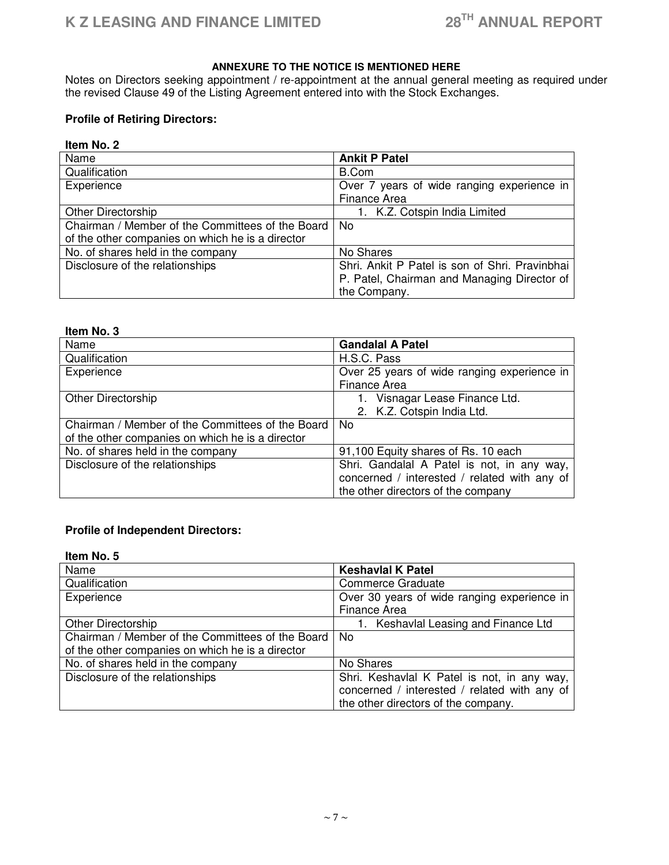# **ANNEXURE TO THE NOTICE IS MENTIONED HERE**

Notes on Directors seeking appointment / re-appointment at the annual general meeting as required under the revised Clause 49 of the Listing Agreement entered into with the Stock Exchanges.

# **Profile of Retiring Directors:**

# **Item No. 2**

| Name                                             | <b>Ankit P Patel</b>                           |
|--------------------------------------------------|------------------------------------------------|
| Qualification                                    | B.Com                                          |
| Experience                                       | Over 7 years of wide ranging experience in     |
|                                                  | Finance Area                                   |
| Other Directorship                               | 1. K.Z. Cotspin India Limited                  |
| Chairman / Member of the Committees of the Board | No                                             |
| of the other companies on which he is a director |                                                |
| No. of shares held in the company                | No Shares                                      |
| Disclosure of the relationships                  | Shri. Ankit P Patel is son of Shri. Pravinbhai |
|                                                  | P. Patel, Chairman and Managing Director of    |
|                                                  | the Company.                                   |

#### **Item No. 3**

| Name                                             | <b>Gandalal A Patel</b>                      |  |
|--------------------------------------------------|----------------------------------------------|--|
| Qualification                                    | H.S.C. Pass                                  |  |
| Experience                                       | Over 25 years of wide ranging experience in  |  |
|                                                  | <b>Finance Area</b>                          |  |
| <b>Other Directorship</b>                        | 1. Visnagar Lease Finance Ltd.               |  |
|                                                  | 2. K.Z. Cotspin India Ltd.                   |  |
| Chairman / Member of the Committees of the Board | No.                                          |  |
| of the other companies on which he is a director |                                              |  |
| No. of shares held in the company                | 91,100 Equity shares of Rs. 10 each          |  |
| Disclosure of the relationships                  | Shri. Gandalal A Patel is not, in any way,   |  |
|                                                  | concerned / interested / related with any of |  |
|                                                  | the other directors of the company           |  |

# **Profile of Independent Directors:**

#### **Item No. 5**

| Name                                             | <b>Keshavlal K Patel</b>                     |
|--------------------------------------------------|----------------------------------------------|
| Qualification                                    | Commerce Graduate                            |
| Experience                                       | Over 30 years of wide ranging experience in  |
|                                                  | <b>Finance Area</b>                          |
| <b>Other Directorship</b>                        | 1. Keshavlal Leasing and Finance Ltd         |
| Chairman / Member of the Committees of the Board | No.                                          |
| of the other companies on which he is a director |                                              |
| No. of shares held in the company                | No Shares                                    |
| Disclosure of the relationships                  | Shri. Keshavlal K Patel is not, in any way,  |
|                                                  | concerned / interested / related with any of |
|                                                  | the other directors of the company.          |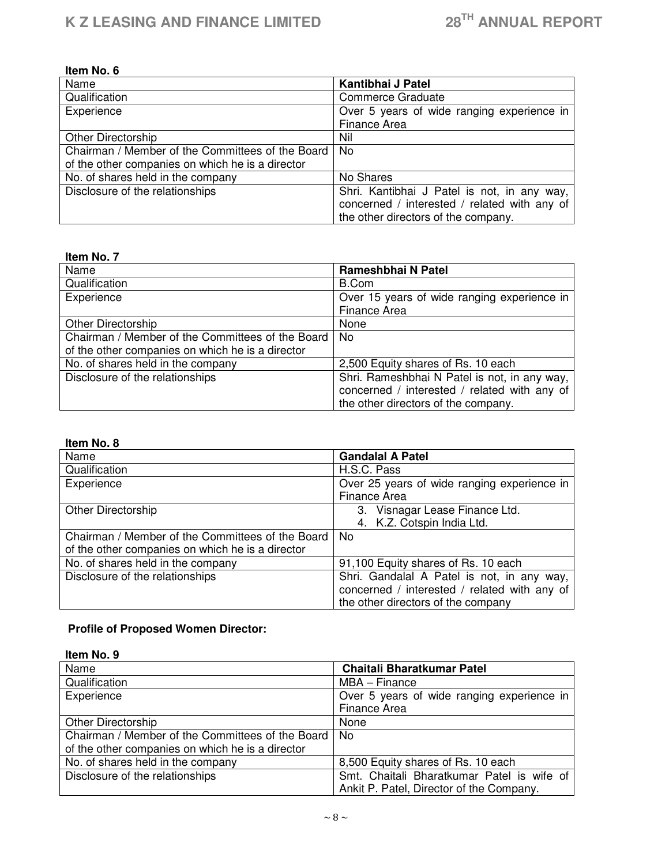| Item No. 6                                       |                                              |
|--------------------------------------------------|----------------------------------------------|
| Name                                             | Kantibhai J Patel                            |
| Qualification                                    | <b>Commerce Graduate</b>                     |
| Experience                                       | Over 5 years of wide ranging experience in   |
|                                                  | Finance Area                                 |
| Other Directorship                               | Nil                                          |
| Chairman / Member of the Committees of the Board | No.                                          |
| of the other companies on which he is a director |                                              |
| No. of shares held in the company                | No Shares                                    |
| Disclosure of the relationships                  | Shri. Kantibhai J Patel is not, in any way,  |
|                                                  | concerned / interested / related with any of |
|                                                  | the other directors of the company.          |

# **Item No. 7**

| Name                                             | Rameshbhai N Patel                                                                                                                  |
|--------------------------------------------------|-------------------------------------------------------------------------------------------------------------------------------------|
| Qualification                                    | B.Com                                                                                                                               |
| Experience                                       | Over 15 years of wide ranging experience in<br>Finance Area                                                                         |
| Other Directorship                               | None                                                                                                                                |
| Chairman / Member of the Committees of the Board | No.                                                                                                                                 |
| of the other companies on which he is a director |                                                                                                                                     |
| No. of shares held in the company                | 2,500 Equity shares of Rs. 10 each                                                                                                  |
| Disclosure of the relationships                  | Shri. Rameshbhai N Patel is not, in any way,<br>concerned / interested / related with any of<br>the other directors of the company. |

#### **Item No. 8**

| Name                                             | <b>Gandalal A Patel</b>                      |  |
|--------------------------------------------------|----------------------------------------------|--|
| Qualification                                    | H.S.C. Pass                                  |  |
| Experience                                       | Over 25 years of wide ranging experience in  |  |
|                                                  | <b>Finance Area</b>                          |  |
| <b>Other Directorship</b>                        | 3. Visnagar Lease Finance Ltd.               |  |
|                                                  | 4. K.Z. Cotspin India Ltd.                   |  |
| Chairman / Member of the Committees of the Board | No.                                          |  |
| of the other companies on which he is a director |                                              |  |
| No. of shares held in the company                | 91,100 Equity shares of Rs. 10 each          |  |
| Disclosure of the relationships                  | Shri. Gandalal A Patel is not, in any way,   |  |
|                                                  | concerned / interested / related with any of |  |
|                                                  | the other directors of the company           |  |

# **Profile of Proposed Women Director:**

| Item No. 9                                       |                                            |
|--------------------------------------------------|--------------------------------------------|
| Name                                             | Chaitali Bharatkumar Patel                 |
| Qualification                                    | MBA - Finance                              |
| Experience                                       | Over 5 years of wide ranging experience in |
|                                                  | <b>Finance Area</b>                        |
| <b>Other Directorship</b>                        | None                                       |
| Chairman / Member of the Committees of the Board | No.                                        |
| of the other companies on which he is a director |                                            |
| No. of shares held in the company                | 8,500 Equity shares of Rs. 10 each         |
| Disclosure of the relationships                  | Smt. Chaitali Bharatkumar Patel is wife of |
|                                                  | Ankit P. Patel, Director of the Company.   |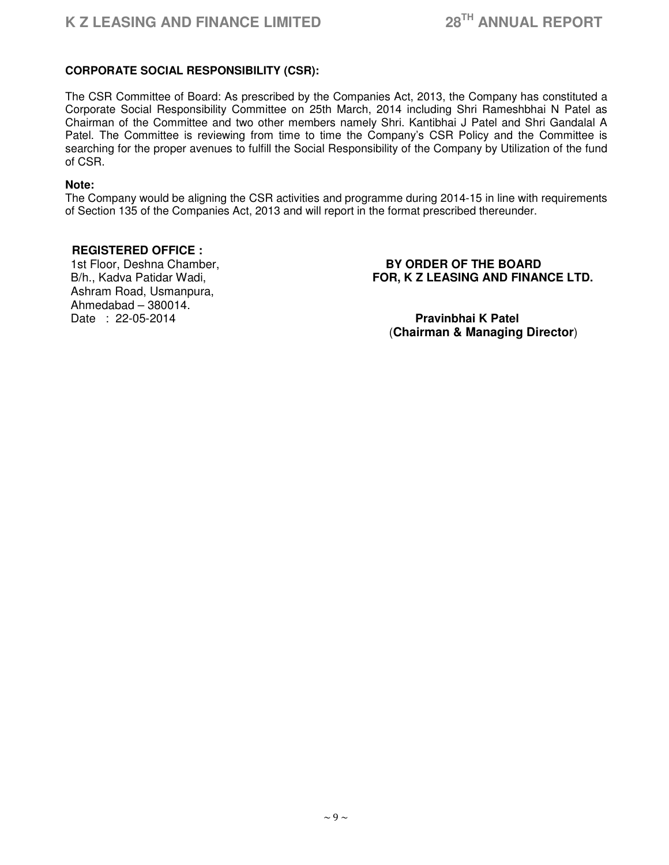# **CORPORATE SOCIAL RESPONSIBILITY (CSR):**

The CSR Committee of Board: As prescribed by the Companies Act, 2013, the Company has constituted a Corporate Social Responsibility Committee on 25th March, 2014 including Shri Rameshbhai N Patel as Chairman of the Committee and two other members namely Shri. Kantibhai J Patel and Shri Gandalal A Patel. The Committee is reviewing from time to time the Company's CSR Policy and the Committee is searching for the proper avenues to fulfill the Social Responsibility of the Company by Utilization of the fund of CSR.

#### **Note:**

The Company would be aligning the CSR activities and programme during 2014-15 in line with requirements of Section 135 of the Companies Act, 2013 and will report in the format prescribed thereunder.

# **REGISTERED OFFICE :**

Ashram Road, Usmanpura, Ahmedabad – 380014. Date : 22-05-2014 **Pravinbhai K Patel**

# 1st Floor, Deshna Chamber, **BY ORDER OF THE BOARD** B/h., Kadva Patidar Wadi, **FOR, K Z LEASING AND FINANCE LTD.**

(**Chairman & Managing Director**)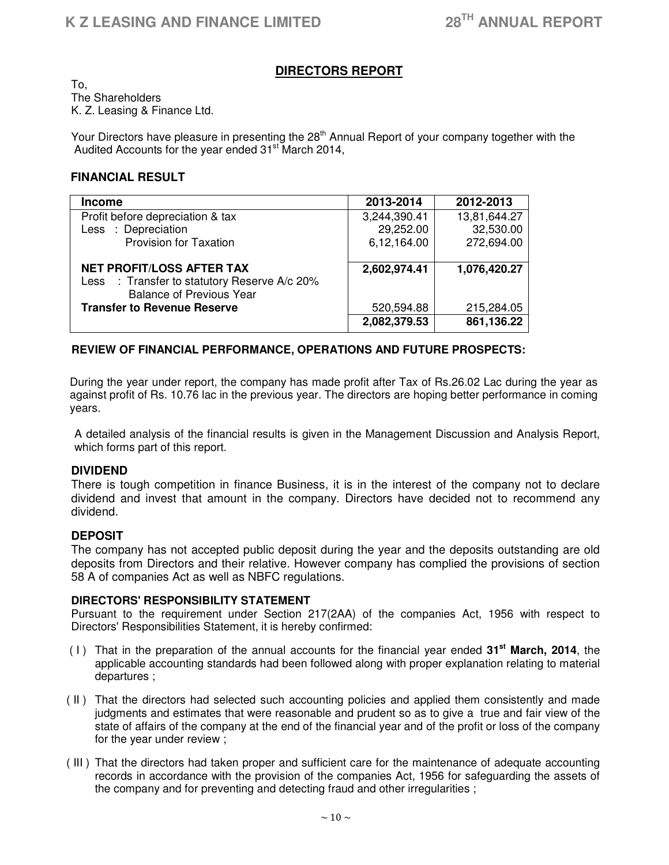# **DIRECTORS REPORT**

To, The Shareholders K. Z. Leasing & Finance Ltd.

Your Directors have pleasure in presenting the 28<sup>th</sup> Annual Report of your company together with the Audited Accounts for the year ended 31<sup>st</sup> March 2014,

# **FINANCIAL RESULT**

| <b>Income</b>                                | 2013-2014    | 2012-2013    |
|----------------------------------------------|--------------|--------------|
| Profit before depreciation & tax             | 3,244,390.41 | 13,81,644.27 |
| Less : Depreciation                          | 29,252.00    | 32,530.00    |
| <b>Provision for Taxation</b>                | 6,12,164.00  | 272,694.00   |
|                                              |              |              |
| <b>NET PROFIT/LOSS AFTER TAX</b>             | 2,602,974.41 | 1,076,420.27 |
| Less : Transfer to statutory Reserve A/c 20% |              |              |
| <b>Balance of Previous Year</b>              |              |              |
| <b>Transfer to Revenue Reserve</b>           | 520,594.88   | 215,284.05   |
|                                              | 2,082,379.53 | 861,136.22   |

# **REVIEW OF FINANCIAL PERFORMANCE, OPERATIONS AND FUTURE PROSPECTS:**

During the year under report, the company has made profit after Tax of Rs.26.02 Lac during the year as against profit of Rs. 10.76 lac in the previous year. The directors are hoping better performance in coming years.

A detailed analysis of the financial results is given in the Management Discussion and Analysis Report, which forms part of this report.

# **DIVIDEND**

There is tough competition in finance Business, it is in the interest of the company not to declare dividend and invest that amount in the company. Directors have decided not to recommend any dividend.

# **DEPOSIT**

The company has not accepted public deposit during the year and the deposits outstanding are old deposits from Directors and their relative. However company has complied the provisions of section 58 A of companies Act as well as NBFC regulations.

# **DIRECTORS' RESPONSIBILITY STATEMENT**

Pursuant to the requirement under Section 217(2AA) of the companies Act, 1956 with respect to Directors' Responsibilities Statement, it is hereby confirmed:

- ( I ) That in the preparation of the annual accounts for the financial year ended **31st March, 2014**, the applicable accounting standards had been followed along with proper explanation relating to material departures ;
- ( II ) That the directors had selected such accounting policies and applied them consistently and made judgments and estimates that were reasonable and prudent so as to give a true and fair view of the state of affairs of the company at the end of the financial year and of the profit or loss of the company for the year under review ;
- ( III ) That the directors had taken proper and sufficient care for the maintenance of adequate accounting records in accordance with the provision of the companies Act, 1956 for safeguarding the assets of the company and for preventing and detecting fraud and other irregularities ;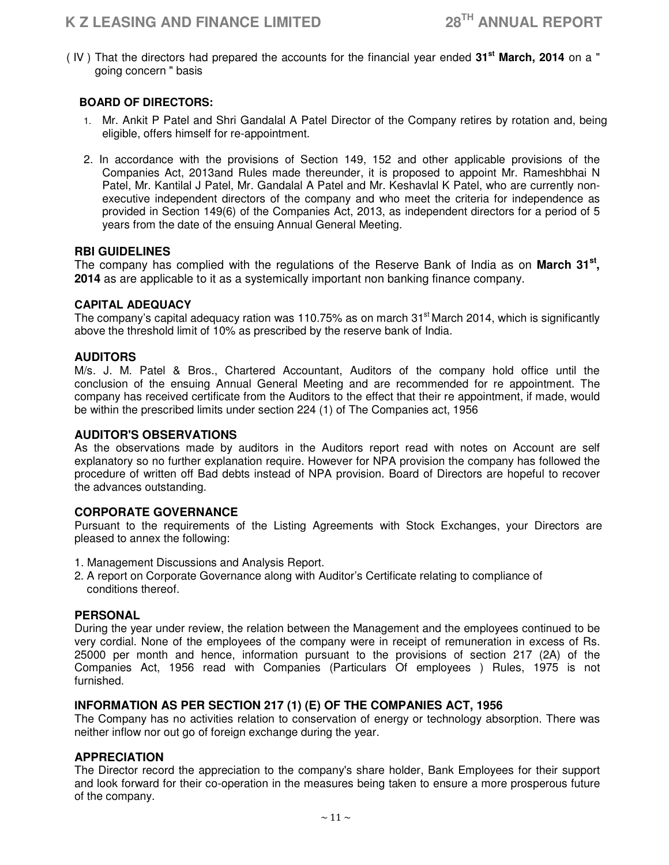( IV ) That the directors had prepared the accounts for the financial year ended **31st March, 2014** on a " going concern " basis

# **BOARD OF DIRECTORS:**

- 1. Mr. Ankit P Patel and Shri Gandalal A Patel Director of the Company retires by rotation and, being eligible, offers himself for re-appointment.
- 2. In accordance with the provisions of Section 149, 152 and other applicable provisions of the Companies Act, 2013and Rules made thereunder, it is proposed to appoint Mr. Rameshbhai N Patel, Mr. Kantilal J Patel, Mr. Gandalal A Patel and Mr. Keshavlal K Patel, who are currently nonexecutive independent directors of the company and who meet the criteria for independence as provided in Section 149(6) of the Companies Act, 2013, as independent directors for a period of 5 years from the date of the ensuing Annual General Meeting.

# **RBI GUIDELINES**

The company has complied with the regulations of the Reserve Bank of India as on **March 31st , 2014** as are applicable to it as a systemically important non banking finance company.

# **CAPITAL ADEQUACY**

The company's capital adequacy ration was 110.75% as on march 31<sup>st</sup> March 2014, which is significantly above the threshold limit of 10% as prescribed by the reserve bank of India.

# **AUDITORS**

M/s. J. M. Patel & Bros., Chartered Accountant, Auditors of the company hold office until the conclusion of the ensuing Annual General Meeting and are recommended for re appointment. The company has received certificate from the Auditors to the effect that their re appointment, if made, would be within the prescribed limits under section 224 (1) of The Companies act, 1956

# **AUDITOR'S OBSERVATIONS**

As the observations made by auditors in the Auditors report read with notes on Account are self explanatory so no further explanation require. However for NPA provision the company has followed the procedure of written off Bad debts instead of NPA provision. Board of Directors are hopeful to recover the advances outstanding.

# **CORPORATE GOVERNANCE**

Pursuant to the requirements of the Listing Agreements with Stock Exchanges, your Directors are pleased to annex the following:

- 1. Management Discussions and Analysis Report.
- 2. A report on Corporate Governance along with Auditor's Certificate relating to compliance of conditions thereof.

# **PERSONAL**

During the year under review, the relation between the Management and the employees continued to be very cordial. None of the employees of the company were in receipt of remuneration in excess of Rs. 25000 per month and hence, information pursuant to the provisions of section 217 (2A) of the Companies Act, 1956 read with Companies (Particulars Of employees ) Rules, 1975 is not furnished.

# **INFORMATION AS PER SECTION 217 (1) (E) OF THE COMPANIES ACT, 1956**

The Company has no activities relation to conservation of energy or technology absorption. There was neither inflow nor out go of foreign exchange during the year.

# **APPRECIATION**

The Director record the appreciation to the company's share holder, Bank Employees for their support and look forward for their co-operation in the measures being taken to ensure a more prosperous future of the company.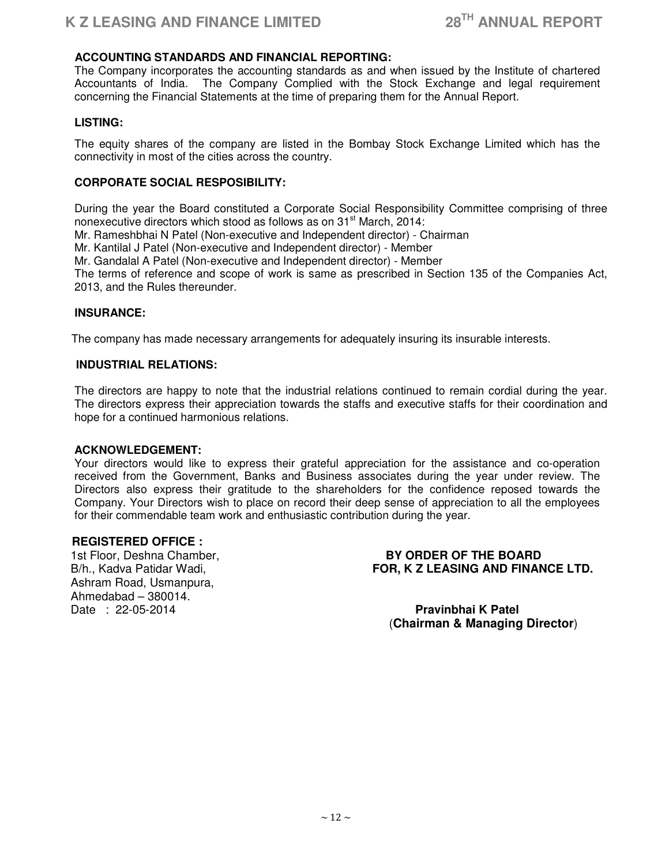# **ACCOUNTING STANDARDS AND FINANCIAL REPORTING:**

The Company incorporates the accounting standards as and when issued by the Institute of chartered Accountants of India. The Company Complied with the Stock Exchange and legal requirement concerning the Financial Statements at the time of preparing them for the Annual Report.

#### **LISTING:**

The equity shares of the company are listed in the Bombay Stock Exchange Limited which has the connectivity in most of the cities across the country.

# **CORPORATE SOCIAL RESPOSIBILITY:**

During the year the Board constituted a Corporate Social Responsibility Committee comprising of three nonexecutive directors which stood as follows as on 31<sup>st</sup> March, 2014:

Mr. Rameshbhai N Patel (Non-executive and Independent director) - Chairman

Mr. Kantilal J Patel (Non-executive and Independent director) - Member

Mr. Gandalal A Patel (Non-executive and Independent director) - Member

The terms of reference and scope of work is same as prescribed in Section 135 of the Companies Act, 2013, and the Rules thereunder.

#### **INSURANCE:**

The company has made necessary arrangements for adequately insuring its insurable interests.

#### **INDUSTRIAL RELATIONS:**

The directors are happy to note that the industrial relations continued to remain cordial during the year. The directors express their appreciation towards the staffs and executive staffs for their coordination and hope for a continued harmonious relations.

#### **ACKNOWLEDGEMENT:**

Your directors would like to express their grateful appreciation for the assistance and co-operation received from the Government, Banks and Business associates during the year under review. The Directors also express their gratitude to the shareholders for the confidence reposed towards the Company. Your Directors wish to place on record their deep sense of appreciation to all the employees for their commendable team work and enthusiastic contribution during the year.

#### **REGISTERED OFFICE :**

Ashram Road, Usmanpura, Ahmedabad – 380014. Date : 22-05-2014 **Pravinbhai K Patel**

1st Floor, Deshna Chamber, **BY ORDER OF THE BOARD** B/h., Kadva Patidar Wadi, **FOR, K Z LEASING AND FINANCE LTD.**

(**Chairman & Managing Director**)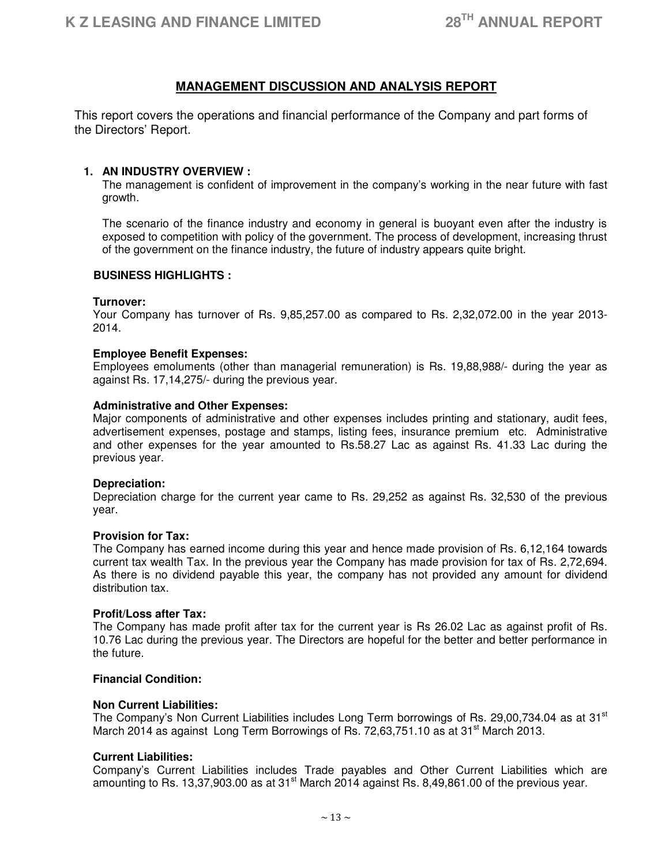# **MANAGEMENT DISCUSSION AND ANALYSIS REPORT**

This report covers the operations and financial performance of the Company and part forms of the Directors' Report.

#### **1. AN INDUSTRY OVERVIEW :**

The management is confident of improvement in the company's working in the near future with fast growth.

The scenario of the finance industry and economy in general is buoyant even after the industry is exposed to competition with policy of the government. The process of development, increasing thrust of the government on the finance industry, the future of industry appears quite bright.

#### **BUSINESS HIGHLIGHTS :**

#### **Turnover:**

Your Company has turnover of Rs. 9,85,257.00 as compared to Rs. 2,32,072.00 in the year 2013- 2014.

#### **Employee Benefit Expenses:**

Employees emoluments (other than managerial remuneration) is Rs. 19,88,988/- during the year as against Rs. 17,14,275/- during the previous year.

#### **Administrative and Other Expenses:**

Major components of administrative and other expenses includes printing and stationary, audit fees, advertisement expenses, postage and stamps, listing fees, insurance premium etc. Administrative and other expenses for the year amounted to Rs.58.27 Lac as against Rs. 41.33 Lac during the previous year.

#### **Depreciation:**

Depreciation charge for the current year came to Rs. 29,252 as against Rs. 32,530 of the previous year.

#### **Provision for Tax:**

The Company has earned income during this year and hence made provision of Rs. 6,12,164 towards current tax wealth Tax. In the previous year the Company has made provision for tax of Rs. 2,72,694. As there is no dividend payable this year, the company has not provided any amount for dividend distribution tax.

#### **Profit/Loss after Tax:**

The Company has made profit after tax for the current year is Rs 26.02 Lac as against profit of Rs. 10.76 Lac during the previous year. The Directors are hopeful for the better and better performance in the future.

# **Financial Condition:**

#### **Non Current Liabilities:**

The Company's Non Current Liabilities includes Long Term borrowings of Rs. 29,00,734.04 as at 31 $^{\rm st}$ March 2014 as against Long Term Borrowings of Rs. 72,63,751.10 as at 31 $^{\rm st}$  March 2013.

#### **Current Liabilities:**

Company's Current Liabilities includes Trade payables and Other Current Liabilities which are amounting to Rs. 13,37,903.00 as at 31<sup>st</sup> March 2014 against Rs. 8,49,861.00 of the previous year.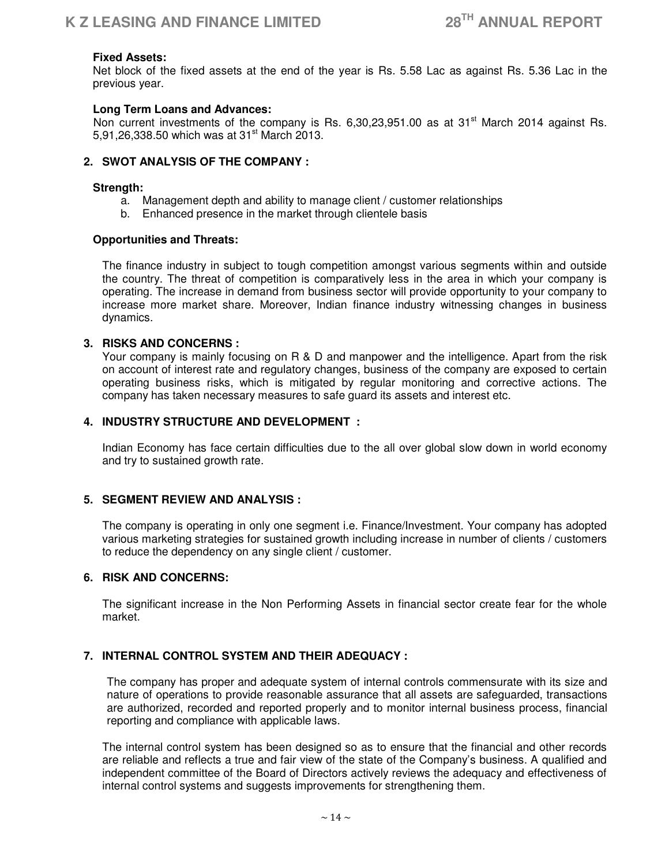#### **Fixed Assets:**

Net block of the fixed assets at the end of the year is Rs. 5.58 Lac as against Rs. 5.36 Lac in the previous year.

#### **Long Term Loans and Advances:**

Non current investments of the company is Rs.  $6.30.23.951.00$  as at  $31<sup>st</sup>$  March 2014 against Rs. 5,91,26,338,50 which was at 31<sup>st</sup> March 2013.

#### **2. SWOT ANALYSIS OF THE COMPANY :**

#### **Strength:**

- a. Management depth and ability to manage client / customer relationships
- b. Enhanced presence in the market through clientele basis

#### **Opportunities and Threats:**

The finance industry in subject to tough competition amongst various segments within and outside the country. The threat of competition is comparatively less in the area in which your company is operating. The increase in demand from business sector will provide opportunity to your company to increase more market share. Moreover, Indian finance industry witnessing changes in business dynamics.

#### **3. RISKS AND CONCERNS :**

Your company is mainly focusing on R & D and manpower and the intelligence. Apart from the risk on account of interest rate and regulatory changes, business of the company are exposed to certain operating business risks, which is mitigated by regular monitoring and corrective actions. The company has taken necessary measures to safe guard its assets and interest etc.

#### **4. INDUSTRY STRUCTURE AND DEVELOPMENT :**

Indian Economy has face certain difficulties due to the all over global slow down in world economy and try to sustained growth rate.

#### **5. SEGMENT REVIEW AND ANALYSIS :**

The company is operating in only one segment i.e. Finance/Investment. Your company has adopted various marketing strategies for sustained growth including increase in number of clients / customers to reduce the dependency on any single client / customer.

#### **6. RISK AND CONCERNS:**

The significant increase in the Non Performing Assets in financial sector create fear for the whole market.

# **7. INTERNAL CONTROL SYSTEM AND THEIR ADEQUACY :**

The company has proper and adequate system of internal controls commensurate with its size and nature of operations to provide reasonable assurance that all assets are safeguarded, transactions are authorized, recorded and reported properly and to monitor internal business process, financial reporting and compliance with applicable laws.

The internal control system has been designed so as to ensure that the financial and other records are reliable and reflects a true and fair view of the state of the Company's business. A qualified and independent committee of the Board of Directors actively reviews the adequacy and effectiveness of internal control systems and suggests improvements for strengthening them.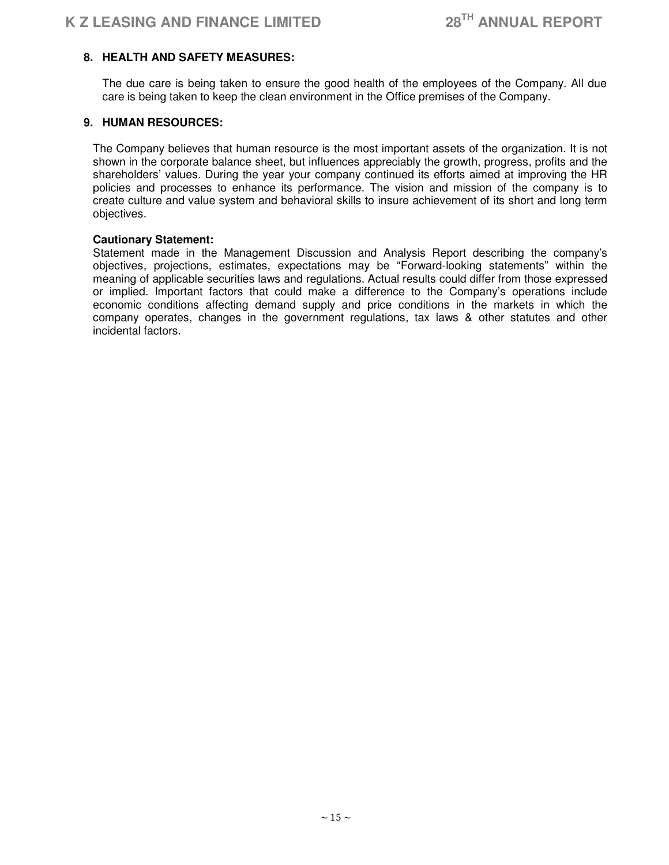# **8. HEALTH AND SAFETY MEASURES:**

The due care is being taken to ensure the good health of the employees of the Company. All due care is being taken to keep the clean environment in the Office premises of the Company.

# **9. HUMAN RESOURCES:**

The Company believes that human resource is the most important assets of the organization. It is not shown in the corporate balance sheet, but influences appreciably the growth, progress, profits and the shareholders' values. During the year your company continued its efforts aimed at improving the HR policies and processes to enhance its performance. The vision and mission of the company is to create culture and value system and behavioral skills to insure achievement of its short and long term objectives.

#### **Cautionary Statement:**

Statement made in the Management Discussion and Analysis Report describing the company's objectives, projections, estimates, expectations may be "Forward-looking statements" within the meaning of applicable securities laws and regulations. Actual results could differ from those expressed or implied. Important factors that could make a difference to the Company's operations include economic conditions affecting demand supply and price conditions in the markets in which the company operates, changes in the government regulations, tax laws & other statutes and other incidental factors.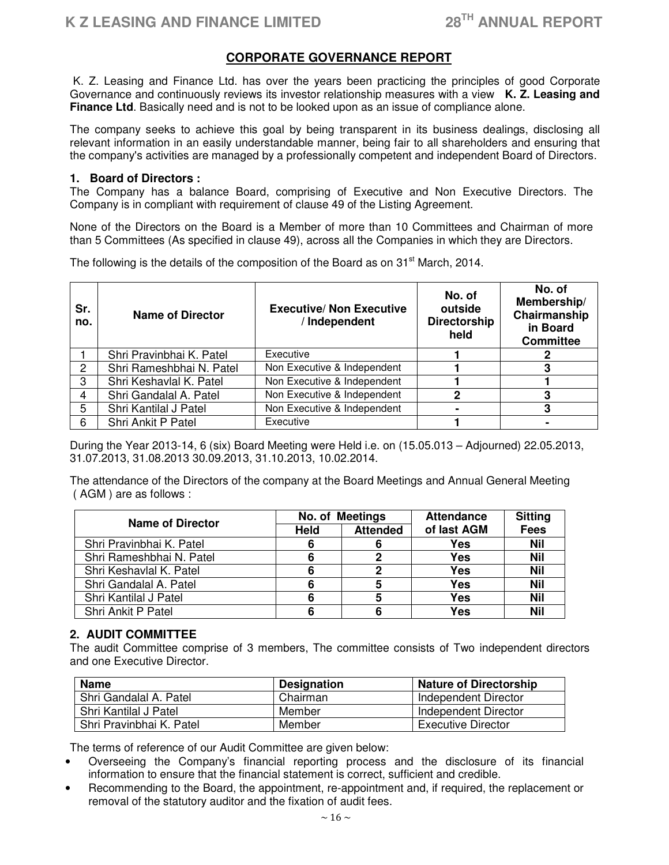# **CORPORATE GOVERNANCE REPORT**

 K. Z. Leasing and Finance Ltd. has over the years been practicing the principles of good Corporate Governance and continuously reviews its investor relationship measures with a view **K. Z. Leasing and Finance Ltd**. Basically need and is not to be looked upon as an issue of compliance alone.

The company seeks to achieve this goal by being transparent in its business dealings, disclosing all relevant information in an easily understandable manner, being fair to all shareholders and ensuring that the company's activities are managed by a professionally competent and independent Board of Directors.

# **1. Board of Directors :**

The Company has a balance Board, comprising of Executive and Non Executive Directors. The Company is in compliant with requirement of clause 49 of the Listing Agreement.

None of the Directors on the Board is a Member of more than 10 Committees and Chairman of more than 5 Committees (As specified in clause 49), across all the Companies in which they are Directors.

The following is the details of the composition of the Board as on  $31<sup>st</sup>$  March, 2014.

| Sr.<br>no.     | <b>Name of Director</b>  | <b>Executive/ Non Executive</b><br>Independent | No. of<br>outside<br><b>Directorship</b><br>held | No. of<br>Membership/<br>Chairmanship<br>in Board<br><b>Committee</b> |
|----------------|--------------------------|------------------------------------------------|--------------------------------------------------|-----------------------------------------------------------------------|
|                | Shri Pravinbhai K. Patel | Executive                                      |                                                  |                                                                       |
| $\overline{2}$ | Shri Rameshbhai N. Patel | Non Executive & Independent                    |                                                  |                                                                       |
| 3              | Shri Keshavlal K. Patel  | Non Executive & Independent                    |                                                  |                                                                       |
| 4              | Shri Gandalal A. Patel   | Non Executive & Independent                    |                                                  |                                                                       |
| 5              | Shri Kantilal J Patel    | Non Executive & Independent                    |                                                  | 3                                                                     |
| 6              | Shri Ankit P Patel       | Executive                                      |                                                  |                                                                       |

During the Year 2013-14, 6 (six) Board Meeting were Held i.e. on (15.05.013 – Adjourned) 22.05.2013, 31.07.2013, 31.08.2013 30.09.2013, 31.10.2013, 10.02.2014.

The attendance of the Directors of the company at the Board Meetings and Annual General Meeting ( AGM ) are as follows :

| <b>Name of Director</b>  | No. of Meetings |                 | <b>Attendance</b> | <b>Sitting</b> |
|--------------------------|-----------------|-----------------|-------------------|----------------|
|                          | <b>Held</b>     | <b>Attended</b> | of last AGM       | <b>Fees</b>    |
| Shri Pravinbhai K. Patel |                 |                 | Yes               | <b>Nil</b>     |
| Shri Rameshbhai N. Patel |                 |                 | Yes               | <b>Nil</b>     |
| Shri Keshavlal K. Patel  |                 |                 | Yes               | <b>Nil</b>     |
| Shri Gandalal A. Patel   |                 | 5               | Yes               | <b>Nil</b>     |
| Shri Kantilal J Patel    |                 | 5               | Yes               | <b>Nil</b>     |
| Shri Ankit P Patel       |                 |                 | Yes               | <b>Nil</b>     |

# **2. AUDIT COMMITTEE**

The audit Committee comprise of 3 members, The committee consists of Two independent directors and one Executive Director.

| <b>Name</b>              | <b>Designation</b> | <b>Nature of Directorship</b> |
|--------------------------|--------------------|-------------------------------|
| Shri Gandalal A. Patel   | Chairman           | Independent Director          |
| Shri Kantilal J Patel    | Member             | Independent Director          |
| Shri Pravinbhai K. Patel | Member             | Executive Director            |

The terms of reference of our Audit Committee are given below:

- Overseeing the Company's financial reporting process and the disclosure of its financial information to ensure that the financial statement is correct, sufficient and credible.
- Recommending to the Board, the appointment, re-appointment and, if required, the replacement or removal of the statutory auditor and the fixation of audit fees.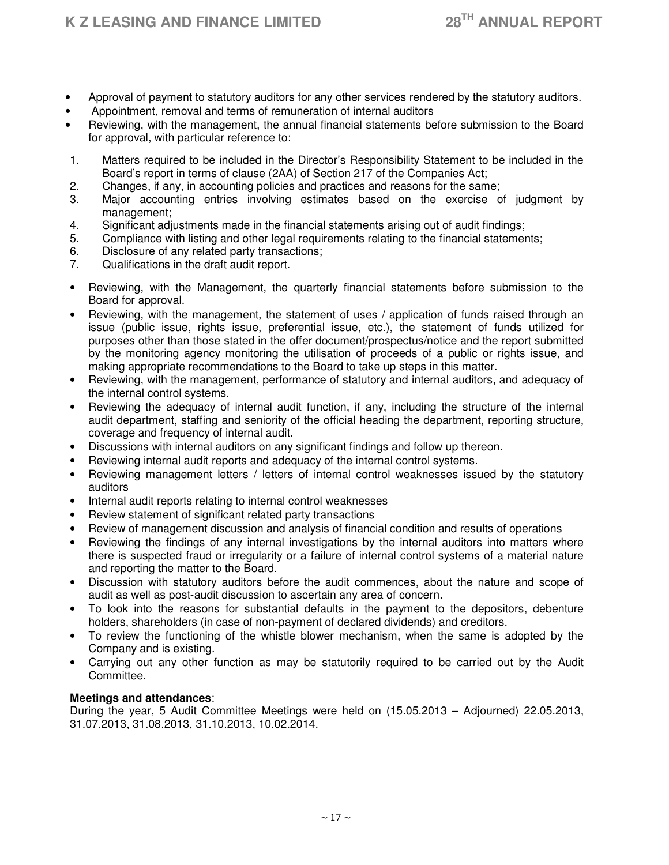- Approval of payment to statutory auditors for any other services rendered by the statutory auditors.
- Appointment, removal and terms of remuneration of internal auditors
- Reviewing, with the management, the annual financial statements before submission to the Board for approval, with particular reference to:
- 1. Matters required to be included in the Director's Responsibility Statement to be included in the Board's report in terms of clause (2AA) of Section 217 of the Companies Act;
- 2. Changes, if any, in accounting policies and practices and reasons for the same;
- 3. Major accounting entries involving estimates based on the exercise of judgment by management;
- 4. Significant adjustments made in the financial statements arising out of audit findings;
- 5. Compliance with listing and other legal requirements relating to the financial statements;
- 6. Disclosure of any related party transactions;
- 7. Qualifications in the draft audit report.
- Reviewing, with the Management, the quarterly financial statements before submission to the Board for approval.
- Reviewing, with the management, the statement of uses / application of funds raised through an issue (public issue, rights issue, preferential issue, etc.), the statement of funds utilized for purposes other than those stated in the offer document/prospectus/notice and the report submitted by the monitoring agency monitoring the utilisation of proceeds of a public or rights issue, and making appropriate recommendations to the Board to take up steps in this matter.
- Reviewing, with the management, performance of statutory and internal auditors, and adequacy of the internal control systems.
- Reviewing the adequacy of internal audit function, if any, including the structure of the internal audit department, staffing and seniority of the official heading the department, reporting structure, coverage and frequency of internal audit.
- Discussions with internal auditors on any significant findings and follow up thereon.
- Reviewing internal audit reports and adequacy of the internal control systems.
- Reviewing management letters / letters of internal control weaknesses issued by the statutory auditors
- Internal audit reports relating to internal control weaknesses
- Review statement of significant related party transactions
- Review of management discussion and analysis of financial condition and results of operations
- Reviewing the findings of any internal investigations by the internal auditors into matters where there is suspected fraud or irregularity or a failure of internal control systems of a material nature and reporting the matter to the Board.
- Discussion with statutory auditors before the audit commences, about the nature and scope of audit as well as post-audit discussion to ascertain any area of concern.
- To look into the reasons for substantial defaults in the payment to the depositors, debenture holders, shareholders (in case of non-payment of declared dividends) and creditors.
- To review the functioning of the whistle blower mechanism, when the same is adopted by the Company and is existing.
- Carrying out any other function as may be statutorily required to be carried out by the Audit Committee.

# **Meetings and attendances**:

During the year, 5 Audit Committee Meetings were held on (15.05.2013 – Adjourned) 22.05.2013, 31.07.2013, 31.08.2013, 31.10.2013, 10.02.2014.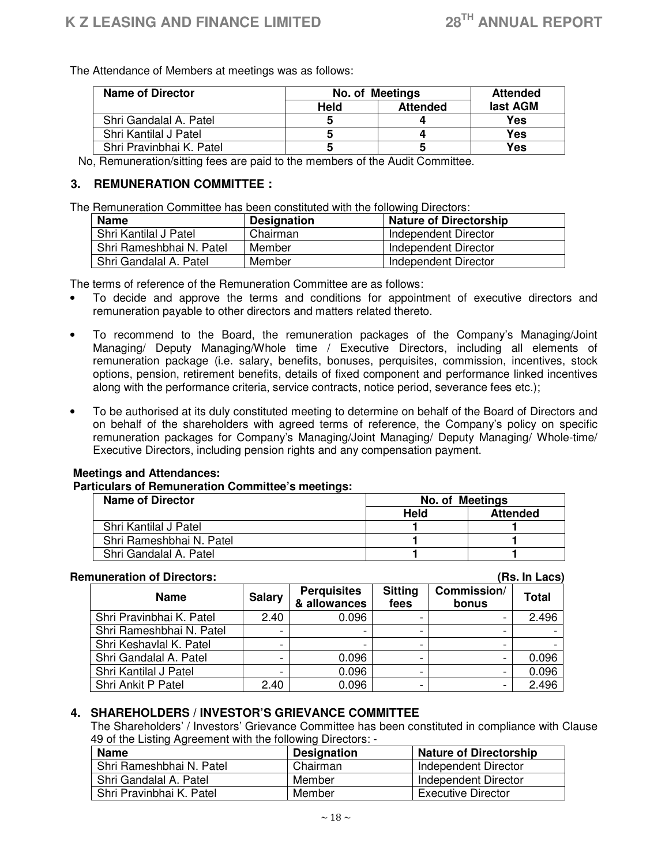The Attendance of Members at meetings was as follows:

| Name of Director         | <b>No. of Meetings</b>  |   | <b>Attended</b> |
|--------------------------|-------------------------|---|-----------------|
|                          | <b>Attended</b><br>Held |   | last AGM        |
| Shri Gandalal A. Patel   | b                       |   | <b>Yes</b>      |
| Shri Kantilal J Patel    |                         |   | Yes             |
| Shri Pravinbhai K. Patel | b                       | b | Yes             |

No, Remuneration/sitting fees are paid to the members of the Audit Committee.

# **3. REMUNERATION COMMITTEE :**

The Remuneration Committee has been constituted with the following Directors:

| <b>Name</b>              | <b>Designation</b> | <b>Nature of Directorship</b> |
|--------------------------|--------------------|-------------------------------|
| Shri Kantilal J Patel    | Chairman           | Independent Director          |
| Shri Rameshbhai N. Patel | Member             | Independent Director          |
| Shri Gandalal A. Patel   | Member             | Independent Director          |

The terms of reference of the Remuneration Committee are as follows:

- To decide and approve the terms and conditions for appointment of executive directors and remuneration payable to other directors and matters related thereto.
- To recommend to the Board, the remuneration packages of the Company's Managing/Joint Managing/ Deputy Managing/Whole time / Executive Directors, including all elements of remuneration package (i.e. salary, benefits, bonuses, perquisites, commission, incentives, stock options, pension, retirement benefits, details of fixed component and performance linked incentives along with the performance criteria, service contracts, notice period, severance fees etc.);
- To be authorised at its duly constituted meeting to determine on behalf of the Board of Directors and on behalf of the shareholders with agreed terms of reference, the Company's policy on specific remuneration packages for Company's Managing/Joint Managing/ Deputy Managing/ Whole-time/ Executive Directors, including pension rights and any compensation payment.

# **Meetings and Attendances:**

 **Particulars of Remuneration Committee's meetings:** 

| <b>Name of Director</b>  | No. of Meetings |                 |
|--------------------------|-----------------|-----------------|
|                          | Held            | <b>Attended</b> |
| Shri Kantilal J Patel    |                 |                 |
| Shri Rameshbhai N. Patel |                 |                 |
| Shri Gandalal A. Patel   |                 |                 |

# **Remuneration of Directors: (Rs. In Lacs)**

| <b>Name</b>              | <b>Salary</b> | <b>Perquisites</b><br>& allowances | <b>Sitting</b><br>fees | Commission/<br>bonus     | <b>Total</b> |
|--------------------------|---------------|------------------------------------|------------------------|--------------------------|--------------|
| Shri Pravinbhai K. Patel | 2.40          | 0.096                              |                        |                          | 2.496        |
| Shri Rameshbhai N. Patel |               |                                    |                        |                          |              |
| Shri Keshavlal K. Patel  |               |                                    |                        |                          |              |
| Shri Gandalal A. Patel   |               | 0.096                              |                        |                          | 0.096        |
| Shri Kantilal J Patel    |               | 0.096                              | -                      | -                        | 0.096        |
| Shri Ankit P Patel       | 2.40          | 0.096                              | -                      | $\overline{\phantom{0}}$ | 2.496        |

# **4. SHAREHOLDERS / INVESTOR'S GRIEVANCE COMMITTEE**

The Shareholders' / Investors' Grievance Committee has been constituted in compliance with Clause 49 of the Listing Agreement with the following Directors: -

| <b>Name</b>              | <b>Designation</b> | <b>Nature of Directorship</b> |
|--------------------------|--------------------|-------------------------------|
| Shri Rameshbhai N. Patel | Chairman           | Independent Director          |
| Shri Gandalal A. Patel   | Member             | Independent Director          |
| Shri Pravinbhai K. Patel | Member             | <b>Executive Director</b>     |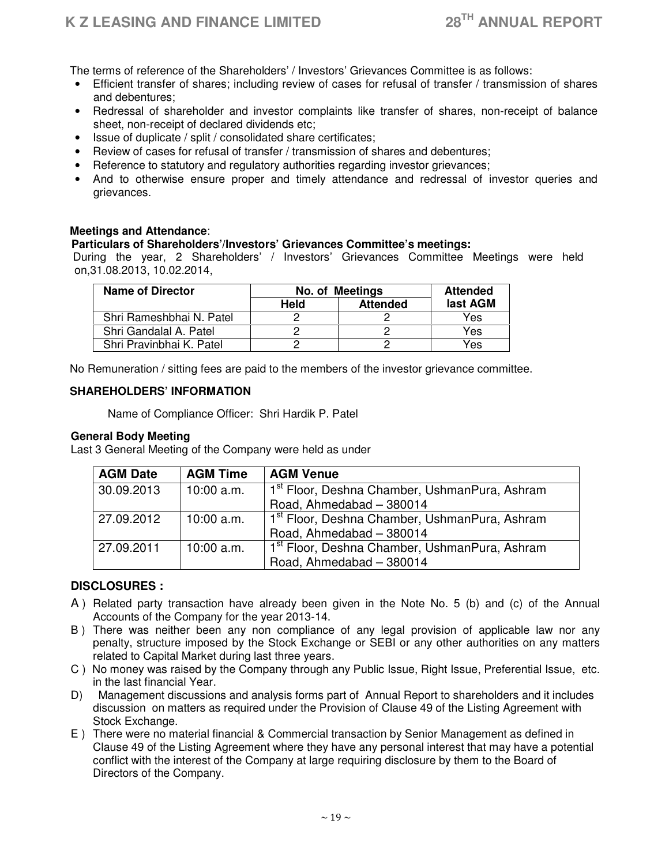The terms of reference of the Shareholders' / Investors' Grievances Committee is as follows:

- Efficient transfer of shares; including review of cases for refusal of transfer / transmission of shares and debentures;
- Redressal of shareholder and investor complaints like transfer of shares, non-receipt of balance sheet, non-receipt of declared dividends etc;
- Issue of duplicate / split / consolidated share certificates;
- Review of cases for refusal of transfer / transmission of shares and debentures;
- Reference to statutory and regulatory authorities regarding investor grievances;
- And to otherwise ensure proper and timely attendance and redressal of investor queries and grievances.

# **Meetings and Attendance**:

# **Particulars of Shareholders'/Investors' Grievances Committee's meetings:**

 During the year, 2 Shareholders' / Investors' Grievances Committee Meetings were held on,31.08.2013, 10.02.2014,

| <b>Name of Director</b>  | No. of Meetings                |  |          |  | <b>Attended</b> |
|--------------------------|--------------------------------|--|----------|--|-----------------|
|                          | <b>Held</b><br><b>Attended</b> |  | last AGM |  |                 |
| Shri Rameshbhai N. Patel |                                |  | Yes      |  |                 |
| Shri Gandalal A. Patel   |                                |  | Yes      |  |                 |
| Shri Pravinbhai K. Patel |                                |  | Yes      |  |                 |

No Remuneration / sitting fees are paid to the members of the investor grievance committee.

# **SHAREHOLDERS' INFORMATION**

Name of Compliance Officer: Shri Hardik P. Patel

#### **General Body Meeting**

Last 3 General Meeting of the Company were held as under

| <b>AGM Date</b> | <b>AGM Time</b> | <b>AGM Venue</b>                                          |
|-----------------|-----------------|-----------------------------------------------------------|
| 30.09.2013      | $10:00$ a.m.    | 1 <sup>st</sup> Floor, Deshna Chamber, UshmanPura, Ashram |
|                 |                 | Road, Ahmedabad - 380014                                  |
| 27.09.2012      | $10:00$ a.m.    | 1 <sup>st</sup> Floor, Deshna Chamber, UshmanPura, Ashram |
|                 |                 | Road, Ahmedabad - 380014                                  |
| 27.09.2011      | $10:00$ a.m.    | 1 <sup>st</sup> Floor, Deshna Chamber, UshmanPura, Ashram |
|                 |                 | Road, Ahmedabad - 380014                                  |

# **DISCLOSURES :**

- A ) Related party transaction have already been given in the Note No. 5 (b) and (c) of the Annual Accounts of the Company for the year 2013-14.
- B ) There was neither been any non compliance of any legal provision of applicable law nor any penalty, structure imposed by the Stock Exchange or SEBI or any other authorities on any matters related to Capital Market during last three years.
- C ) No money was raised by the Company through any Public Issue, Right Issue, Preferential Issue, etc. in the last financial Year.
- D) Management discussions and analysis forms part of Annual Report to shareholders and it includes discussion on matters as required under the Provision of Clause 49 of the Listing Agreement with Stock Exchange.
- E ) There were no material financial & Commercial transaction by Senior Management as defined in Clause 49 of the Listing Agreement where they have any personal interest that may have a potential conflict with the interest of the Company at large requiring disclosure by them to the Board of Directors of the Company.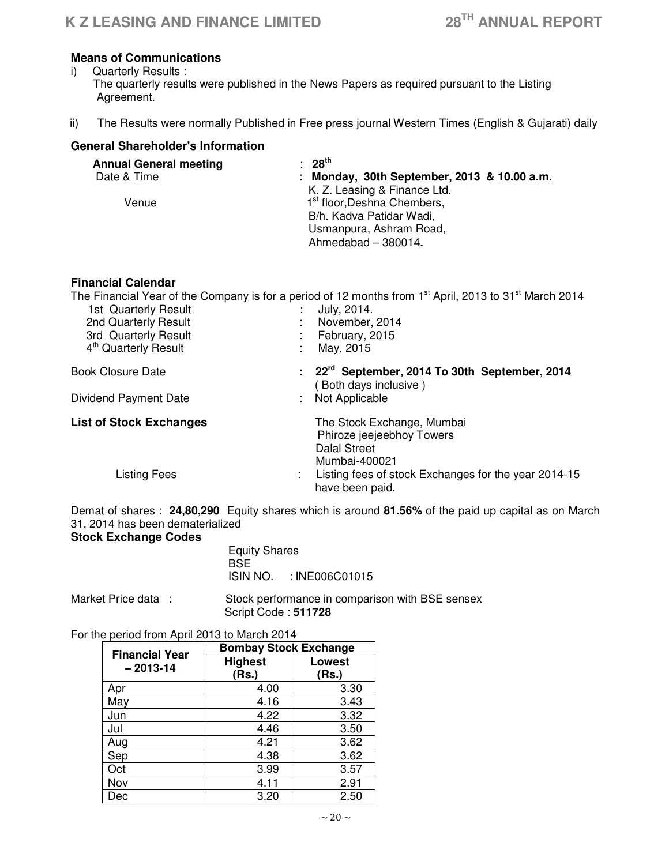# **Means of Communications**

- i) Quarterly Results : The quarterly results were published in the News Papers as required pursuant to the Listing Agreement.
- ii) The Results were normally Published in Free press journal Western Times (English & Gujarati) daily

# **General Shareholder's Information**

| <b>Annual General meeting</b> | $: 28^{th}$                                 |
|-------------------------------|---------------------------------------------|
| Date & Time                   | : Monday, 30th September, 2013 & 10.00 a.m. |
|                               | K. Z. Leasing & Finance Ltd.                |
| Venue                         | 1 <sup>st</sup> floor, Deshna Chembers,     |
|                               | B/h. Kadva Patidar Wadi,                    |
|                               | Usmanpura, Ashram Road,                     |
|                               | Ahmedabad - 380014.                         |

# **Financial Calendar**

The Financial Year of the Company is for a period of 12 months from 1<sup>st</sup> April, 2013 to 31<sup>st</sup> March 2014 1st Quarterly Result **in the Contract of Contract State 1**: July, 2014.<br>2nd Quarterly Result **1998.** 2014 2nd Quarterly Result 3rd Quarterly Result : February, 2015<br>
4<sup>th</sup> Quarterly Result : May, 2015 4<sup>th</sup> Quarterly Result Book Closure Date **: 22rd September, 2014 To 30th September, 2014** (Both days inclusive)<br>: Not Applicable Dividend Payment Date **List of Stock Exchanges** The Stock Exchange, Mumbai Phiroze jeejeebhoy Towers Dalal Street Mumbai-400021 : Listing fees of stock Exchanges for the year 2014-15 have been paid.

Demat of shares : **24,80,290** Equity shares which is around **81.56%** of the paid up capital as on March 31, 2014 has been dematerialized

# **Stock Exchange Codes**

| <b>Equity Shares</b> |                         |  |
|----------------------|-------------------------|--|
| <b>BSE</b>           |                         |  |
|                      | ISIN NO. : INE006C01015 |  |

Market Price data : Stock performance in comparison with BSE sensex Script Code : **511728** 

#### For the period from April 2013 to March 2014

| <b>Financial Year</b> | <b>Bombay Stock Exchange</b> |               |  |
|-----------------------|------------------------------|---------------|--|
| $-2013 - 14$          | <b>Highest</b>               | <b>Lowest</b> |  |
|                       | (Rs.)                        | (Rs.)         |  |
| Apr                   | 4.00                         | 3.30          |  |
| May                   | 4.16                         | 3.43          |  |
| Jun                   | 4.22                         | 3.32          |  |
| Jul                   | 4.46                         | 3.50          |  |
| Aug                   | 4.21                         | 3.62          |  |
| Sep                   | 4.38                         | 3.62          |  |
| Oct                   | 3.99                         | 3.57          |  |
| Nov                   | 4.11                         | 2.91          |  |
| Dec                   | 3.20                         | 2.50          |  |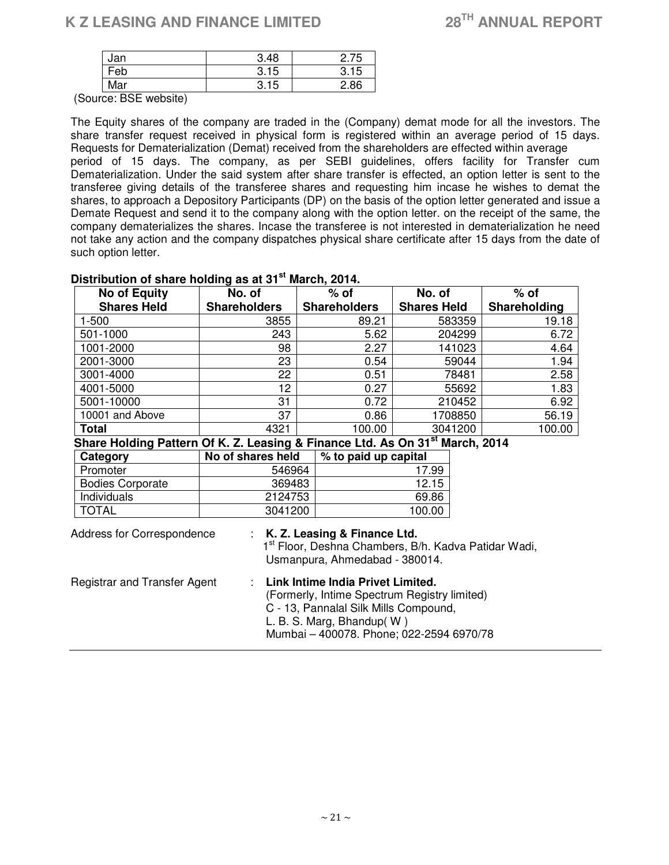# **K Z LEASING AND FINANCE LIMITED 28TH ANNUAL REPORT**

| Jan             | 3.48 | 2.75 |
|-----------------|------|------|
| <sup>⊏</sup> eb | 3.15 |      |
| Mar             | 3.15 | 86   |
| _ _ _<br>.      |      |      |

(Source: BSE website)

The Equity shares of the company are traded in the (Company) demat mode for all the investors. The share transfer request received in physical form is registered within an average period of 15 days. Requests for Dematerialization (Demat) received from the shareholders are effected within average period of 15 days. The company, as per SEBI guidelines, offers facility for Transfer cum Dematerialization. Under the said system after share transfer is effected, an option letter is sent to the transferee giving details of the transferee shares and requesting him incase he wishes to demat the shares, to approach a Depository Participants (DP) on the basis of the option letter generated and issue a Demate Request and send it to the company along with the option letter. on the receipt of the same, the company dematerializes the shares. Incase the transferee is not interested in dematerialization he need not take any action and the company dispatches physical share certificate after 15 days from the date of such option letter.

| <b>No of Equity</b>                                                                                                                                                                                                                     | No. of              |  | $%$ of               | No. of             | $%$ of       |
|-----------------------------------------------------------------------------------------------------------------------------------------------------------------------------------------------------------------------------------------|---------------------|--|----------------------|--------------------|--------------|
| <b>Shares Held</b>                                                                                                                                                                                                                      | <b>Shareholders</b> |  | <b>Shareholders</b>  | <b>Shares Held</b> | Shareholding |
| $1 - 500$                                                                                                                                                                                                                               | 3855                |  | 89.21                | 583359             | 19.18        |
| 501-1000                                                                                                                                                                                                                                | 243                 |  | 5.62                 | 204299             | 6.72         |
| 1001-2000                                                                                                                                                                                                                               | 98                  |  | 2.27                 | 141023             | 4.64         |
| 2001-3000                                                                                                                                                                                                                               | 23                  |  | 0.54                 | 59044              | 1.94         |
| 3001-4000                                                                                                                                                                                                                               | 22                  |  | 0.51                 | 78481              | 2.58         |
| 4001-5000                                                                                                                                                                                                                               | 12                  |  | 0.27                 | 55692              | 1.83         |
| 5001-10000                                                                                                                                                                                                                              | 31                  |  | 0.72                 | 210452             | 6.92         |
| 10001 and Above                                                                                                                                                                                                                         | 37                  |  | 0.86                 | 1708850            | 56.19        |
| Total                                                                                                                                                                                                                                   | 4321                |  | 100.00               | 3041200            | 100.00       |
| Share Holding Pattern Of K. Z. Leasing & Finance Ltd. As On 31 <sup>st</sup> March, 2014                                                                                                                                                |                     |  |                      |                    |              |
| Category                                                                                                                                                                                                                                | No of shares held   |  | % to paid up capital |                    |              |
| Promoter                                                                                                                                                                                                                                | 546964              |  |                      | 17.99              |              |
| <b>Bodies Corporate</b>                                                                                                                                                                                                                 | 369483              |  |                      | 12.15              |              |
| Individuals                                                                                                                                                                                                                             | 2124753             |  |                      | 69.86              |              |
| <b>TOTAL</b>                                                                                                                                                                                                                            | 3041200             |  |                      | 100.00             |              |
| : K. Z. Leasing & Finance Ltd.<br>Address for Correspondence<br>1 <sup>st</sup> Floor, Deshna Chambers, B/h. Kadva Patidar Wadi,<br>Usmanpura, Ahmedabad - 380014.                                                                      |                     |  |                      |                    |              |
| Link Intime India Privet Limited.<br>Registrar and Transfer Agent<br>(Formerly, Intime Spectrum Registry limited)<br>C - 13, Pannalal Silk Mills Compound,<br>L. B. S. Marg, Bhandup( $W$ )<br>Mumbai - 400078. Phone; 022-2594 6970/78 |                     |  |                      |                    |              |

# **Distribution of share holding as at 31st March, 2014.**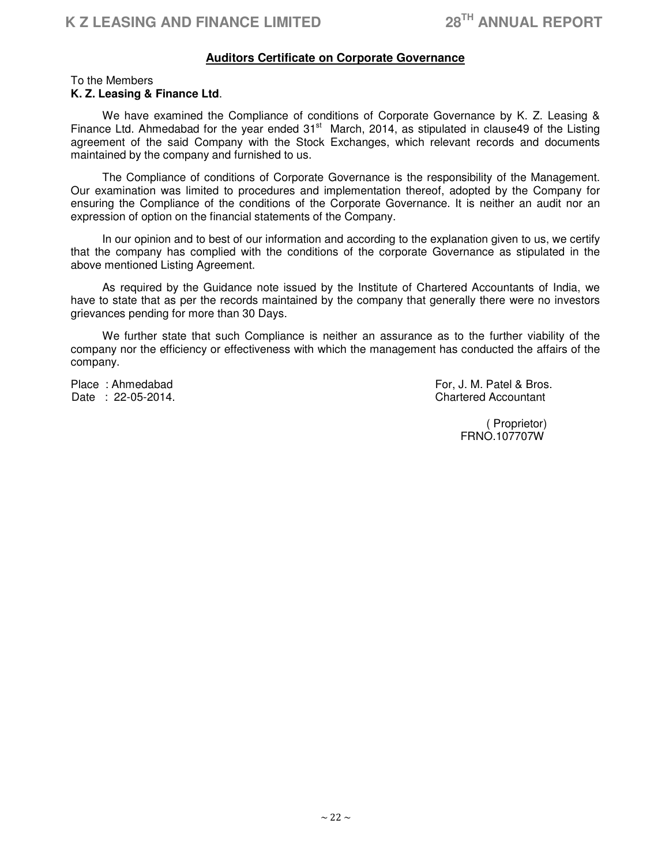# **Auditors Certificate on Corporate Governance**

#### To the Members **K. Z. Leasing & Finance Ltd**.

 We have examined the Compliance of conditions of Corporate Governance by K. Z. Leasing & Finance Ltd. Ahmedabad for the year ended  $31<sup>st</sup>$  March, 2014, as stipulated in clause49 of the Listing agreement of the said Company with the Stock Exchanges, which relevant records and documents maintained by the company and furnished to us.

 The Compliance of conditions of Corporate Governance is the responsibility of the Management. Our examination was limited to procedures and implementation thereof, adopted by the Company for ensuring the Compliance of the conditions of the Corporate Governance. It is neither an audit nor an expression of option on the financial statements of the Company.

 In our opinion and to best of our information and according to the explanation given to us, we certify that the company has complied with the conditions of the corporate Governance as stipulated in the above mentioned Listing Agreement.

 As required by the Guidance note issued by the Institute of Chartered Accountants of India, we have to state that as per the records maintained by the company that generally there were no investors grievances pending for more than 30 Days.

 We further state that such Compliance is neither an assurance as to the further viability of the company nor the efficiency or effectiveness with which the management has conducted the affairs of the company.

Place : Ahmedabad For, J. M. Patel & Bros.<br>
Date : 22-05-2014. **Chartered Accountant** 

> ( Proprietor) FRNO.107707W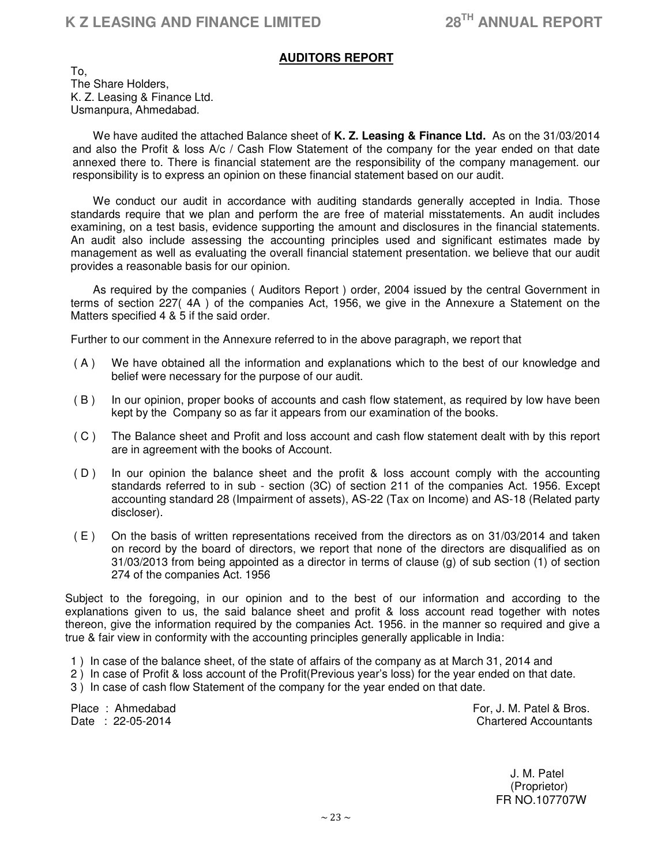# **AUDITORS REPORT**

To, The Share Holders, K. Z. Leasing & Finance Ltd. Usmanpura, Ahmedabad.

 We have audited the attached Balance sheet of **K. Z. Leasing & Finance Ltd.** As on the 31/03/2014 and also the Profit & loss A/c / Cash Flow Statement of the company for the year ended on that date annexed there to. There is financial statement are the responsibility of the company management. our responsibility is to express an opinion on these financial statement based on our audit.

 We conduct our audit in accordance with auditing standards generally accepted in India. Those standards require that we plan and perform the are free of material misstatements. An audit includes examining, on a test basis, evidence supporting the amount and disclosures in the financial statements. An audit also include assessing the accounting principles used and significant estimates made by management as well as evaluating the overall financial statement presentation. we believe that our audit provides a reasonable basis for our opinion.

 As required by the companies ( Auditors Report ) order, 2004 issued by the central Government in terms of section 227( 4A ) of the companies Act, 1956, we give in the Annexure a Statement on the Matters specified 4 & 5 if the said order.

Further to our comment in the Annexure referred to in the above paragraph, we report that

- ( A ) We have obtained all the information and explanations which to the best of our knowledge and belief were necessary for the purpose of our audit.
- ( B ) In our opinion, proper books of accounts and cash flow statement, as required by low have been kept by the Company so as far it appears from our examination of the books.
- ( C ) The Balance sheet and Profit and loss account and cash flow statement dealt with by this report are in agreement with the books of Account.
- ( D ) In our opinion the balance sheet and the profit & loss account comply with the accounting standards referred to in sub - section (3C) of section 211 of the companies Act. 1956. Except accounting standard 28 (Impairment of assets), AS-22 (Tax on Income) and AS-18 (Related party discloser).
- ( E ) On the basis of written representations received from the directors as on 31/03/2014 and taken on record by the board of directors, we report that none of the directors are disqualified as on 31/03/2013 from being appointed as a director in terms of clause (g) of sub section (1) of section 274 of the companies Act. 1956

Subject to the foregoing, in our opinion and to the best of our information and according to the explanations given to us, the said balance sheet and profit & loss account read together with notes thereon, give the information required by the companies Act. 1956. in the manner so required and give a true & fair view in conformity with the accounting principles generally applicable in India:

1 ) In case of the balance sheet, of the state of affairs of the company as at March 31, 2014 and

- 2 ) In case of Profit & loss account of the Profit(Previous year's loss) for the year ended on that date.
- 3 ) In case of cash flow Statement of the company for the year ended on that date.

Place : Ahmedabad For, J. M. Patel & Bros. Date : 22-05-2014 **Chartered Accountants** 

 J. M. Patel (Proprietor) FR NO.107707W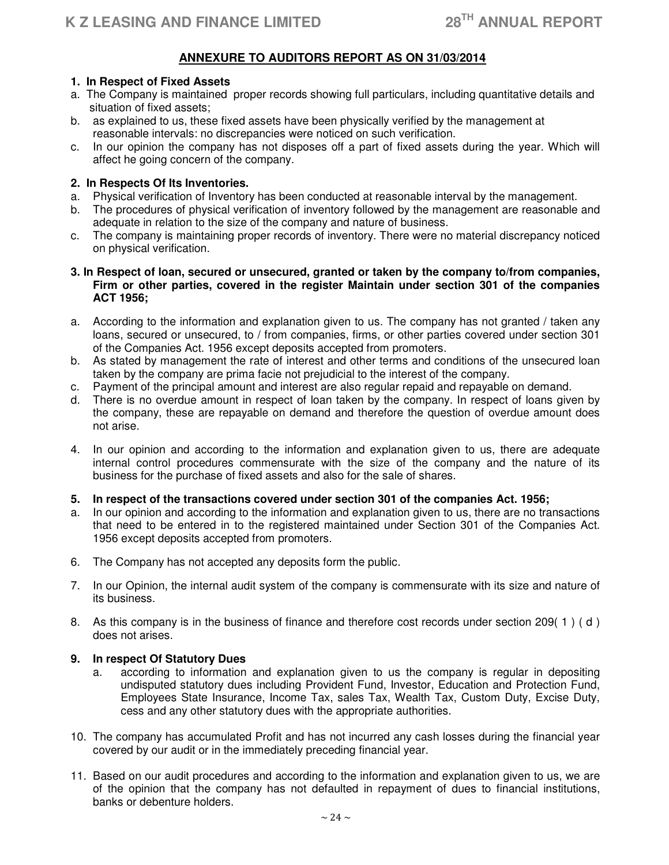# **ANNEXURE TO AUDITORS REPORT AS ON 31/03/2014**

# **1. In Respect of Fixed Assets**

- a. The Company is maintained proper records showing full particulars, including quantitative details and situation of fixed assets;
- b. as explained to us, these fixed assets have been physically verified by the management at reasonable intervals: no discrepancies were noticed on such verification.
- c. In our opinion the company has not disposes off a part of fixed assets during the year. Which will affect he going concern of the company.

# **2. In Respects Of Its Inventories.**

- a. Physical verification of Inventory has been conducted at reasonable interval by the management.
- b. The procedures of physical verification of inventory followed by the management are reasonable and adequate in relation to the size of the company and nature of business.
- c. The company is maintaining proper records of inventory. There were no material discrepancy noticed on physical verification.
- **3. In Respect of loan, secured or unsecured, granted or taken by the company to/from companies, Firm or other parties, covered in the register Maintain under section 301 of the companies ACT 1956;**
- a. According to the information and explanation given to us. The company has not granted / taken any loans, secured or unsecured, to / from companies, firms, or other parties covered under section 301 of the Companies Act. 1956 except deposits accepted from promoters.
- b. As stated by management the rate of interest and other terms and conditions of the unsecured loan taken by the company are prima facie not prejudicial to the interest of the company.
- c. Payment of the principal amount and interest are also regular repaid and repayable on demand.
- d. There is no overdue amount in respect of loan taken by the company. In respect of loans given by the company, these are repayable on demand and therefore the question of overdue amount does not arise.
- 4. In our opinion and according to the information and explanation given to us, there are adequate internal control procedures commensurate with the size of the company and the nature of its business for the purchase of fixed assets and also for the sale of shares.

# **5. In respect of the transactions covered under section 301 of the companies Act. 1956;**

- a. In our opinion and according to the information and explanation given to us, there are no transactions that need to be entered in to the registered maintained under Section 301 of the Companies Act. 1956 except deposits accepted from promoters.
- 6. The Company has not accepted any deposits form the public.
- 7. In our Opinion, the internal audit system of the company is commensurate with its size and nature of its business.
- 8. As this company is in the business of finance and therefore cost records under section 209( 1 ) ( d ) does not arises.

# **9. In respect Of Statutory Dues**

- a. according to information and explanation given to us the company is regular in depositing undisputed statutory dues including Provident Fund, Investor, Education and Protection Fund, Employees State Insurance, Income Tax, sales Tax, Wealth Tax, Custom Duty, Excise Duty, cess and any other statutory dues with the appropriate authorities.
- 10. The company has accumulated Profit and has not incurred any cash losses during the financial year covered by our audit or in the immediately preceding financial year.
- 11. Based on our audit procedures and according to the information and explanation given to us, we are of the opinion that the company has not defaulted in repayment of dues to financial institutions, banks or debenture holders.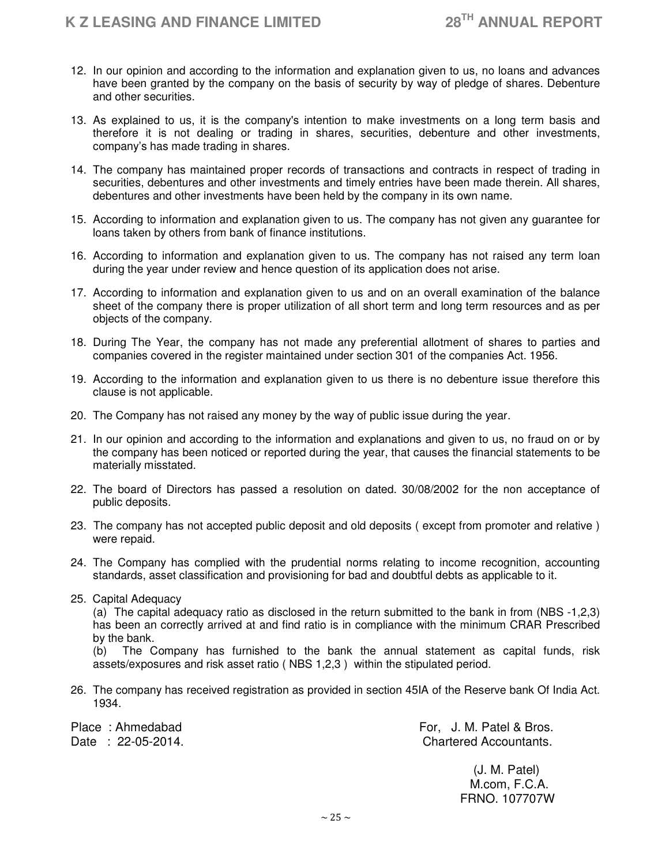- 12. In our opinion and according to the information and explanation given to us, no loans and advances have been granted by the company on the basis of security by way of pledge of shares. Debenture and other securities.
- 13. As explained to us, it is the company's intention to make investments on a long term basis and therefore it is not dealing or trading in shares, securities, debenture and other investments, company's has made trading in shares.
- 14. The company has maintained proper records of transactions and contracts in respect of trading in securities, debentures and other investments and timely entries have been made therein. All shares, debentures and other investments have been held by the company in its own name.
- 15. According to information and explanation given to us. The company has not given any guarantee for loans taken by others from bank of finance institutions.
- 16. According to information and explanation given to us. The company has not raised any term loan during the year under review and hence question of its application does not arise.
- 17. According to information and explanation given to us and on an overall examination of the balance sheet of the company there is proper utilization of all short term and long term resources and as per objects of the company.
- 18. During The Year, the company has not made any preferential allotment of shares to parties and companies covered in the register maintained under section 301 of the companies Act. 1956.
- 19. According to the information and explanation given to us there is no debenture issue therefore this clause is not applicable.
- 20. The Company has not raised any money by the way of public issue during the year.
- 21. In our opinion and according to the information and explanations and given to us, no fraud on or by the company has been noticed or reported during the year, that causes the financial statements to be materially misstated.
- 22. The board of Directors has passed a resolution on dated. 30/08/2002 for the non acceptance of public deposits.
- 23. The company has not accepted public deposit and old deposits ( except from promoter and relative ) were repaid.
- 24. The Company has complied with the prudential norms relating to income recognition, accounting standards, asset classification and provisioning for bad and doubtful debts as applicable to it.
- 25. Capital Adequacy

(a) The capital adequacy ratio as disclosed in the return submitted to the bank in from (NBS -1,2,3) has been an correctly arrived at and find ratio is in compliance with the minimum CRAR Prescribed by the bank.

(b) The Company has furnished to the bank the annual statement as capital funds, risk assets/exposures and risk asset ratio ( NBS 1,2,3 ) within the stipulated period.

26. The company has received registration as provided in section 45IA of the Reserve bank Of India Act. 1934.

Place : Ahmedabad For, J. M. Patel & Bros. Date : 22-05-2014. Chartered Accountants.

> (J. M. Patel) M.com, F.C.A. FRNO. 107707W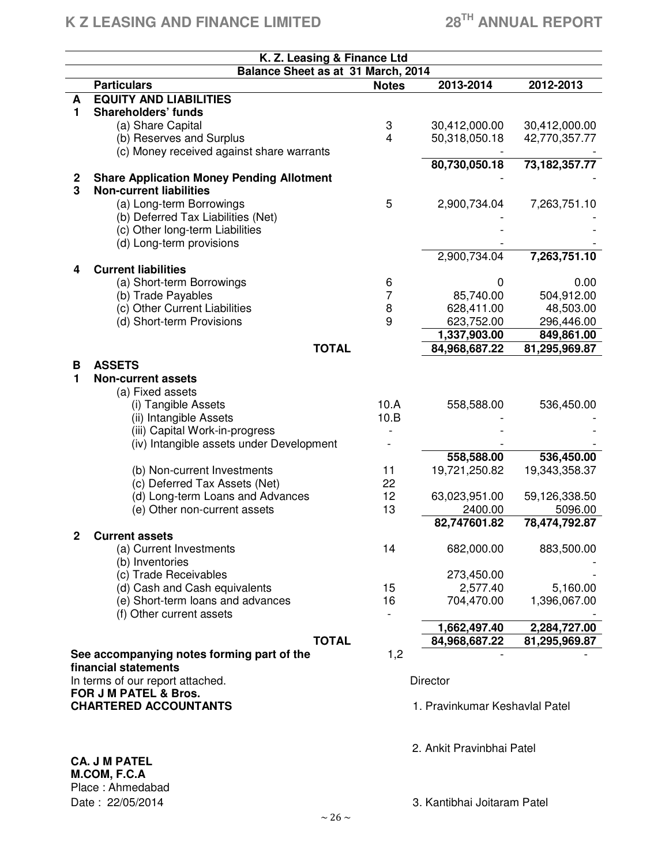# **K Z LEASING AND FINANCE LIMITED 28TH ANNUAL REPORT**

|                              | K. Z. Leasing & Finance Ltd<br>Balance Sheet as at 31 March, 2014 |              |                                |                  |
|------------------------------|-------------------------------------------------------------------|--------------|--------------------------------|------------------|
|                              | <b>Particulars</b>                                                | <b>Notes</b> | 2013-2014                      | 2012-2013        |
| A                            | <b>EQUITY AND LIABILITIES</b>                                     |              |                                |                  |
| 1                            | <b>Shareholders' funds</b>                                        |              |                                |                  |
|                              | (a) Share Capital                                                 | 3            | 30,412,000.00                  | 30,412,000.00    |
|                              | (b) Reserves and Surplus                                          | 4            | 50,318,050.18                  | 42,770,357.77    |
|                              | (c) Money received against share warrants                         |              |                                |                  |
|                              |                                                                   |              | 80,730,050.18                  | 73, 182, 357. 77 |
|                              | <b>Share Application Money Pending Allotment</b>                  |              |                                |                  |
| $\mathbf{2}$<br>3            | <b>Non-current liabilities</b>                                    |              |                                |                  |
|                              | (a) Long-term Borrowings                                          | 5            | 2,900,734.04                   | 7,263,751.10     |
|                              | (b) Deferred Tax Liabilities (Net)                                |              |                                |                  |
|                              | (c) Other long-term Liabilities                                   |              |                                |                  |
|                              | (d) Long-term provisions                                          |              |                                |                  |
|                              |                                                                   |              | 2,900,734.04                   | 7,263,751.10     |
| 4                            | <b>Current liabilities</b>                                        |              |                                |                  |
|                              | (a) Short-term Borrowings                                         | 6            | 0                              | 0.00             |
|                              | (b) Trade Payables                                                | 7            | 85,740.00                      | 504,912.00       |
|                              | (c) Other Current Liabilities                                     | 8            | 628,411.00                     | 48,503.00        |
|                              | (d) Short-term Provisions                                         | 9            | 623,752.00                     | 296,446.00       |
|                              |                                                                   |              | 1,337,903.00                   | 849,861.00       |
|                              | <b>TOTAL</b>                                                      |              | 84,968,687.22                  | 81,295,969.87    |
|                              |                                                                   |              |                                |                  |
| B                            | <b>ASSETS</b>                                                     |              |                                |                  |
| 1                            | <b>Non-current assets</b>                                         |              |                                |                  |
|                              | (a) Fixed assets                                                  |              |                                |                  |
|                              | (i) Tangible Assets                                               | 10.A         | 558,588.00                     | 536,450.00       |
|                              | (ii) Intangible Assets                                            | 10.B         |                                |                  |
|                              | (iii) Capital Work-in-progress                                    |              |                                |                  |
|                              | (iv) Intangible assets under Development                          |              |                                |                  |
|                              |                                                                   |              | 558,588.00                     | 536,450.00       |
|                              | (b) Non-current Investments                                       | 11           | 19,721,250.82                  | 19,343,358.37    |
|                              | (c) Deferred Tax Assets (Net)                                     | 22<br>12     |                                | 59,126,338.50    |
|                              | (d) Long-term Loans and Advances                                  | 13           | 63,023,951.00<br>2400.00       | 5096.00          |
|                              | (e) Other non-current assets                                      |              | 82,747601.82                   |                  |
|                              | <b>Current assets</b>                                             |              |                                | 78,474,792.87    |
|                              | (a) Current Investments                                           | 14           | 682,000.00                     | 883,500.00       |
|                              | (b) Inventories                                                   |              |                                |                  |
|                              | (c) Trade Receivables                                             |              | 273,450.00                     |                  |
|                              | (d) Cash and Cash equivalents                                     | 15           | 2,577.40                       | 5,160.00         |
|                              | (e) Short-term loans and advances                                 | 16           | 704,470.00                     | 1,396,067.00     |
|                              | (f) Other current assets                                          |              |                                |                  |
|                              |                                                                   |              | 1,662,497.40                   | 2,284,727.00     |
|                              | <b>TOTAL</b>                                                      |              | 84,968,687.22                  | 81,295,969.87    |
|                              | See accompanying notes forming part of the                        | 1,2          |                                |                  |
|                              | financial statements                                              |              |                                |                  |
|                              | In terms of our report attached.                                  |              | <b>Director</b>                |                  |
|                              | <b>FOR J M PATEL &amp; Bros.</b>                                  |              |                                |                  |
| <b>CHARTERED ACCOUNTANTS</b> |                                                                   |              | 1. Pravinkumar Keshavlal Patel |                  |
|                              |                                                                   |              |                                |                  |
|                              |                                                                   |              |                                |                  |
|                              | <b>CA. J M PATEL</b>                                              |              | 2. Ankit Pravinbhai Patel      |                  |
|                              | M.COM, F.C.A                                                      |              |                                |                  |

Place : Ahmedabad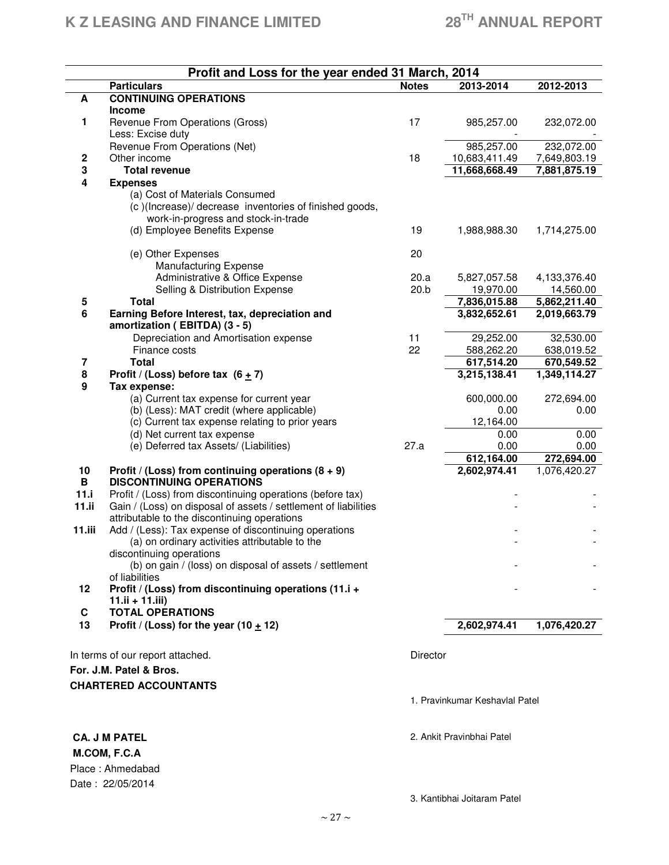|                  | Profit and Loss for the year ended 31 March, 2014                                   |                 |                                |                              |
|------------------|-------------------------------------------------------------------------------------|-----------------|--------------------------------|------------------------------|
|                  | <b>Particulars</b>                                                                  | <b>Notes</b>    | 2013-2014                      | 2012-2013                    |
| A                | <b>CONTINUING OPERATIONS</b>                                                        |                 |                                |                              |
|                  | <b>Income</b>                                                                       |                 |                                |                              |
| 1                | Revenue From Operations (Gross)                                                     | 17              | 985,257.00                     | 232,072.00                   |
|                  | Less: Excise duty                                                                   |                 |                                |                              |
|                  | Revenue From Operations (Net)                                                       |                 | 985,257.00                     | 232,072.00                   |
| 2                | Other income                                                                        | 18              | 10,683,411.49                  | 7,649,803.19                 |
| 3                | <b>Total revenue</b>                                                                |                 | 11,668,668.49                  | 7,881,875.19                 |
| 4                | <b>Expenses</b>                                                                     |                 |                                |                              |
|                  | (a) Cost of Materials Consumed                                                      |                 |                                |                              |
|                  | (c)(Increase)/decrease inventories of finished goods,                               |                 |                                |                              |
|                  | work-in-progress and stock-in-trade                                                 |                 |                                |                              |
|                  | (d) Employee Benefits Expense                                                       | 19              | 1,988,988.30                   | 1,714,275.00                 |
|                  |                                                                                     |                 |                                |                              |
|                  | (e) Other Expenses                                                                  | 20              |                                |                              |
|                  | <b>Manufacturing Expense</b>                                                        |                 |                                |                              |
|                  | Administrative & Office Expense                                                     | 20.a            | 5,827,057.58                   | 4,133,376.40                 |
|                  | Selling & Distribution Expense<br><b>Total</b>                                      | 20.b            | 19,970.00<br>7,836,015.88      | 14,560.00                    |
| 5<br>6           | Earning Before Interest, tax, depreciation and                                      |                 | 3,832,652.61                   | 5,862,211.40<br>2,019,663.79 |
|                  | amortization (EBITDA) (3 - 5)                                                       |                 |                                |                              |
|                  | Depreciation and Amortisation expense                                               | 11              | 29,252.00                      | 32,530.00                    |
|                  | Finance costs                                                                       | 22              | 588,262.20                     | 638,019.52                   |
| 7                | <b>Total</b>                                                                        |                 | 617,514.20                     | 670,549.52                   |
| 8                | Profit / (Loss) before tax $(6 + 7)$                                                |                 | 3,215,138.41                   | 1,349,114.27                 |
| $\boldsymbol{9}$ | Tax expense:                                                                        |                 |                                |                              |
|                  | (a) Current tax expense for current year                                            |                 | 600,000.00                     | 272,694.00                   |
|                  | (b) (Less): MAT credit (where applicable)                                           |                 | 0.00                           | 0.00                         |
|                  | (c) Current tax expense relating to prior years                                     |                 | 12,164.00                      |                              |
|                  | (d) Net current tax expense                                                         |                 | 0.00                           | 0.00                         |
|                  | (e) Deferred tax Assets/ (Liabilities)                                              | 27.a            | 0.00                           | 0.00                         |
|                  |                                                                                     |                 | 612,164.00                     | 272,694.00                   |
| 10               | Profit / (Loss) from continuing operations $(8 + 9)$                                |                 | 2,602,974.41                   | 1,076,420.27                 |
| B                | <b>DISCONTINUING OPERATIONS</b>                                                     |                 |                                |                              |
| 11.i             | Profit / (Loss) from discontinuing operations (before tax)                          |                 |                                |                              |
| 11.ii            | Gain / (Loss) on disposal of assets / settlement of liabilities                     |                 |                                |                              |
|                  | attributable to the discontinuing operations                                        |                 |                                |                              |
| $11.$ iii        | Add / (Less): Tax expense of discontinuing operations                               |                 |                                |                              |
|                  | (a) on ordinary activities attributable to the                                      |                 |                                |                              |
|                  | discontinuing operations<br>(b) on gain / (loss) on disposal of assets / settlement |                 |                                |                              |
|                  | of liabilities                                                                      |                 |                                |                              |
| 12               | Profit / (Loss) from discontinuing operations (11.i +                               |                 |                                |                              |
|                  | $11.ii + 11.iii$                                                                    |                 |                                |                              |
| C                | <b>TOTAL OPERATIONS</b>                                                             |                 |                                |                              |
| 13               | Profit / (Loss) for the year (10 $\pm$ 12)                                          |                 | 2,602,974.41                   | 1,076,420.27                 |
|                  |                                                                                     |                 |                                |                              |
|                  | In terms of our report attached.                                                    | <b>Director</b> |                                |                              |
|                  | For. J.M. Patel & Bros.                                                             |                 |                                |                              |
|                  |                                                                                     |                 |                                |                              |
|                  | <b>CHARTERED ACCOUNTANTS</b>                                                        |                 |                                |                              |
|                  |                                                                                     |                 | 1. Pravinkumar Keshavlal Patel |                              |
|                  |                                                                                     |                 |                                |                              |
|                  | <b>CA. J M PATEL</b>                                                                |                 | 2. Ankit Pravinbhai Patel      |                              |
|                  |                                                                                     |                 |                                |                              |
|                  | M.COM, F.C.A                                                                        |                 |                                |                              |
|                  | Place: Ahmedabad                                                                    |                 |                                |                              |
|                  | Date: 22/05/2014                                                                    |                 |                                |                              |

3. Kantibhai Joitaram Patel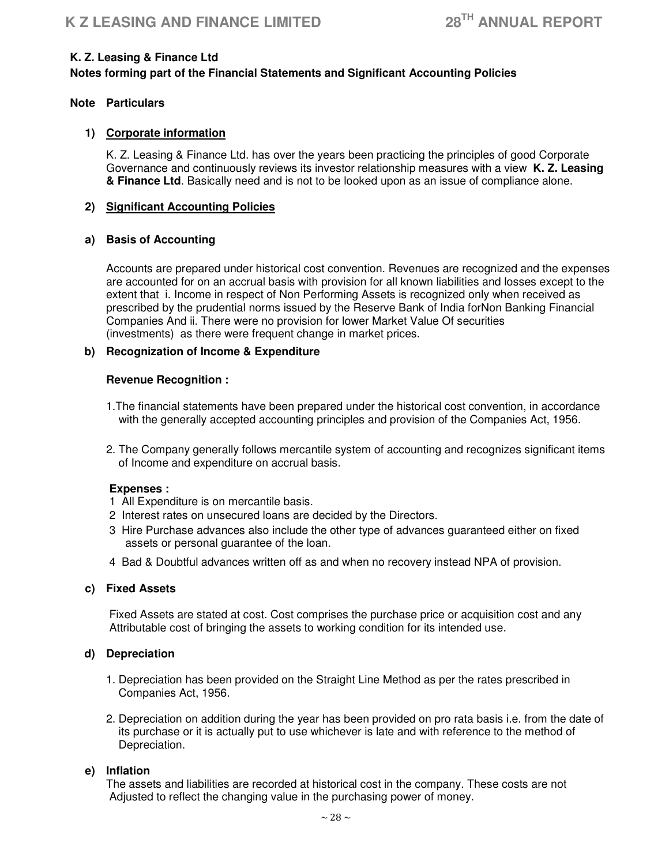# **K. Z. Leasing & Finance Ltd**

# **Notes forming part of the Financial Statements and Significant Accounting Policies**

# **Note Particulars**

# **1) Corporate information**

K. Z. Leasing & Finance Ltd. has over the years been practicing the principles of good Corporate Governance and continuously reviews its investor relationship measures with a view **K. Z. Leasing & Finance Ltd**. Basically need and is not to be looked upon as an issue of compliance alone.

# **2) Significant Accounting Policies**

# **a) Basis of Accounting**

Accounts are prepared under historical cost convention. Revenues are recognized and the expenses are accounted for on an accrual basis with provision for all known liabilities and losses except to the extent that i. Income in respect of Non Performing Assets is recognized only when received as prescribed by the prudential norms issued by the Reserve Bank of India forNon Banking Financial Companies And ii. There were no provision for lower Market Value Of securities (investments) as there were frequent change in market prices.

# **b) Recognization of Income & Expenditure**

# **Revenue Recognition :**

- 1.The financial statements have been prepared under the historical cost convention, in accordance with the generally accepted accounting principles and provision of the Companies Act, 1956.
- 2. The Company generally follows mercantile system of accounting and recognizes significant items of Income and expenditure on accrual basis.

# **Expenses :**

- 1 All Expenditure is on mercantile basis.
- 2 Interest rates on unsecured loans are decided by the Directors.
- 3 Hire Purchase advances also include the other type of advances guaranteed either on fixed assets or personal guarantee of the loan.
- 4 Bad & Doubtful advances written off as and when no recovery instead NPA of provision.

# **c) Fixed Assets**

 Fixed Assets are stated at cost. Cost comprises the purchase price or acquisition cost and any Attributable cost of bringing the assets to working condition for its intended use.

# **d) Depreciation**

- 1. Depreciation has been provided on the Straight Line Method as per the rates prescribed in Companies Act, 1956.
- 2. Depreciation on addition during the year has been provided on pro rata basis i.e. from the date of its purchase or it is actually put to use whichever is late and with reference to the method of Depreciation.

# **e) Inflation**

The assets and liabilities are recorded at historical cost in the company. These costs are not Adjusted to reflect the changing value in the purchasing power of money.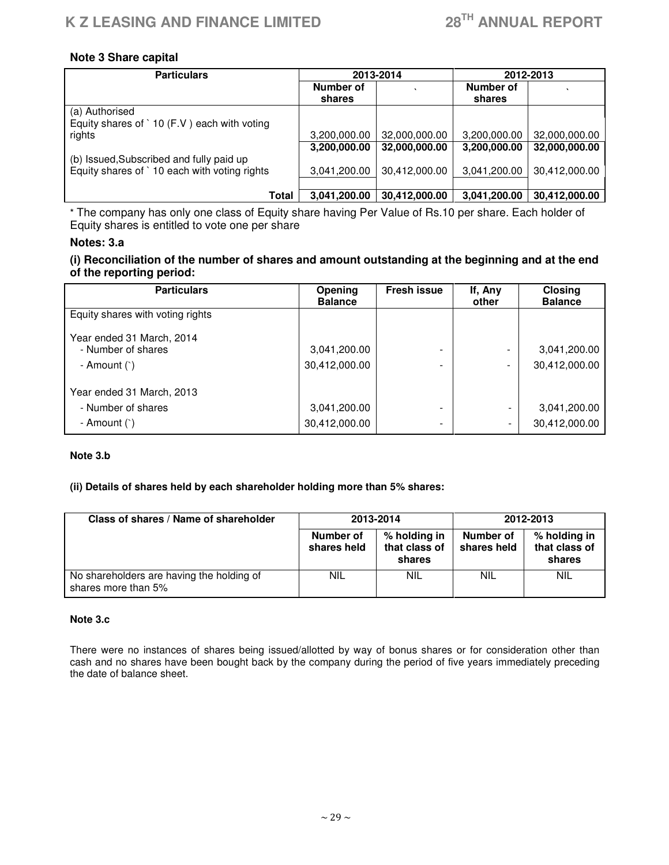# **Note 3 Share capital**

| <b>Particulars</b>                                   | 2013-2014    |               | 2012-2013    |               |
|------------------------------------------------------|--------------|---------------|--------------|---------------|
|                                                      | Number of    |               | Number of    |               |
|                                                      | shares       |               | shares       |               |
| (a) Authorised                                       |              |               |              |               |
| Equity shares of $\dot{ }$ 10 (F.V) each with voting |              |               |              |               |
| rights                                               | 3,200,000.00 | 32,000,000.00 | 3,200,000.00 | 32,000,000.00 |
|                                                      | 3,200,000.00 | 32,000,000.00 | 3,200,000.00 | 32,000,000.00 |
| (b) Issued, Subscribed and fully paid up             |              |               |              |               |
| Equity shares of `10 each with voting rights         | 3,041,200.00 | 30,412,000.00 | 3,041,200.00 | 30,412,000.00 |
|                                                      |              |               |              |               |
| Total                                                | 3,041,200.00 | 30,412,000.00 | 3,041,200.00 | 30,412,000.00 |

\* The company has only one class of Equity share having Per Value of Rs.10 per share. Each holder of Equity shares is entitled to vote one per share

# **Notes: 3.a**

# **(i) Reconciliation of the number of shares and amount outstanding at the beginning and at the end of the reporting period:**

| <b>Particulars</b>               | Opening<br><b>Balance</b> | <b>Fresh issue</b>       | If, Any<br>other         | <b>Closing</b><br><b>Balance</b> |
|----------------------------------|---------------------------|--------------------------|--------------------------|----------------------------------|
| Equity shares with voting rights |                           |                          |                          |                                  |
| Year ended 31 March, 2014        |                           |                          |                          |                                  |
| - Number of shares               | 3,041,200.00              | ۰                        |                          | 3,041,200.00                     |
| - Amount $($ `)                  | 30,412,000.00             | -                        | $\overline{\phantom{0}}$ | 30,412,000.00                    |
| Year ended 31 March, 2013        |                           |                          |                          |                                  |
| - Number of shares               | 3,041,200.00              |                          |                          | 3,041,200.00                     |
| - Amount $($ `)                  | 30,412,000.00             | $\overline{\phantom{a}}$ | $\overline{\phantom{a}}$ | 30,412,000.00                    |

#### **Note 3.b**

# **(ii) Details of shares held by each shareholder holding more than 5% shares:**

| Class of shares / Name of shareholder                            | 2013-2014                |                                         | 2012-2013                |                                         |
|------------------------------------------------------------------|--------------------------|-----------------------------------------|--------------------------|-----------------------------------------|
|                                                                  | Number of<br>shares held | % holding in<br>that class of<br>shares | Number of<br>shares held | % holding in<br>that class of<br>shares |
| No shareholders are having the holding of<br>shares more than 5% | <b>NIL</b>               | <b>NIL</b>                              | <b>NIL</b>               | <b>NIL</b>                              |

#### **Note 3.c**

There were no instances of shares being issued/allotted by way of bonus shares or for consideration other than cash and no shares have been bought back by the company during the period of five years immediately preceding the date of balance sheet.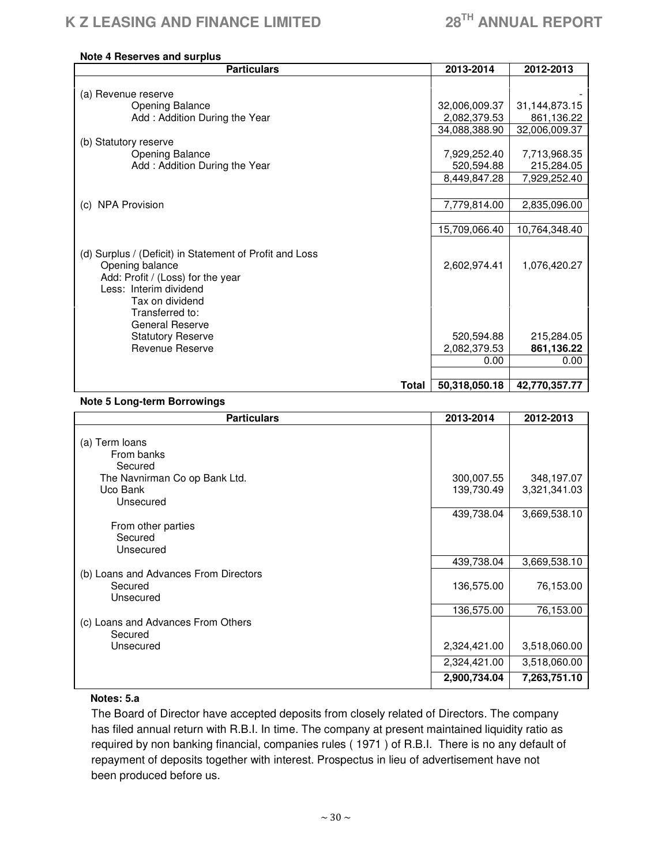#### **Note 4 Reserves and surplus**

| <b>Particulars</b>                                                                                                                                                                                                                                              | 2013-2014                                          | 2012-2013                                        |
|-----------------------------------------------------------------------------------------------------------------------------------------------------------------------------------------------------------------------------------------------------------------|----------------------------------------------------|--------------------------------------------------|
|                                                                                                                                                                                                                                                                 |                                                    |                                                  |
| (a) Revenue reserve                                                                                                                                                                                                                                             |                                                    |                                                  |
| <b>Opening Balance</b>                                                                                                                                                                                                                                          | 32,006,009.37                                      | 31,144,873.15                                    |
| Add: Addition During the Year                                                                                                                                                                                                                                   | 2,082,379.53                                       | 861,136.22                                       |
|                                                                                                                                                                                                                                                                 | 34,088,388.90                                      | 32,006,009.37                                    |
| (b) Statutory reserve                                                                                                                                                                                                                                           |                                                    |                                                  |
| <b>Opening Balance</b>                                                                                                                                                                                                                                          | 7,929,252.40                                       | 7,713,968.35                                     |
| Add: Addition During the Year                                                                                                                                                                                                                                   | 520,594.88                                         | 215,284.05                                       |
|                                                                                                                                                                                                                                                                 | 8,449,847.28                                       | 7,929,252.40                                     |
|                                                                                                                                                                                                                                                                 |                                                    |                                                  |
| (c) NPA Provision                                                                                                                                                                                                                                               | 7,779,814.00                                       | 2,835,096.00                                     |
|                                                                                                                                                                                                                                                                 |                                                    |                                                  |
|                                                                                                                                                                                                                                                                 | 15,709,066.40                                      | 10,764,348.40                                    |
| (d) Surplus / (Deficit) in Statement of Profit and Loss<br>Opening balance<br>Add: Profit / (Loss) for the year<br>Less: Interim dividend<br>Tax on dividend<br>Transferred to:<br><b>General Reserve</b><br><b>Statutory Reserve</b><br><b>Revenue Reserve</b> | 2,602,974.41<br>520,594.88<br>2,082,379.53<br>0.00 | 1,076,420.27<br>215,284.05<br>861,136.22<br>0.00 |
| Total                                                                                                                                                                                                                                                           | 50,318,050.18                                      | 42,770,357.77                                    |

# **Note 5 Long-term Borrowings**

| <b>Particulars</b>                    | 2013-2014    | 2012-2013    |
|---------------------------------------|--------------|--------------|
| (a) Term loans                        |              |              |
| From banks                            |              |              |
| Secured                               |              |              |
| The Navnirman Co op Bank Ltd.         | 300,007.55   | 348,197.07   |
| Uco Bank                              | 139,730.49   | 3,321,341.03 |
| Unsecured                             |              |              |
|                                       | 439,738.04   | 3,669,538.10 |
| From other parties                    |              |              |
| Secured                               |              |              |
| Unsecured                             |              |              |
| (b) Loans and Advances From Directors | 439,738.04   | 3,669,538.10 |
| Secured                               | 136,575.00   | 76,153.00    |
| Unsecured                             |              |              |
|                                       | 136,575.00   | 76,153.00    |
| (c) Loans and Advances From Others    |              |              |
| Secured                               |              |              |
| Unsecured                             | 2,324,421.00 | 3,518,060.00 |
|                                       | 2,324,421.00 | 3,518,060.00 |
|                                       | 2,900,734.04 | 7,263,751.10 |

# **Notes: 5.a**

The Board of Director have accepted deposits from closely related of Directors. The company has filed annual return with R.B.I. In time. The company at present maintained liquidity ratio as required by non banking financial, companies rules ( 1971 ) of R.B.I. There is no any default of repayment of deposits together with interest. Prospectus in lieu of advertisement have not been produced before us.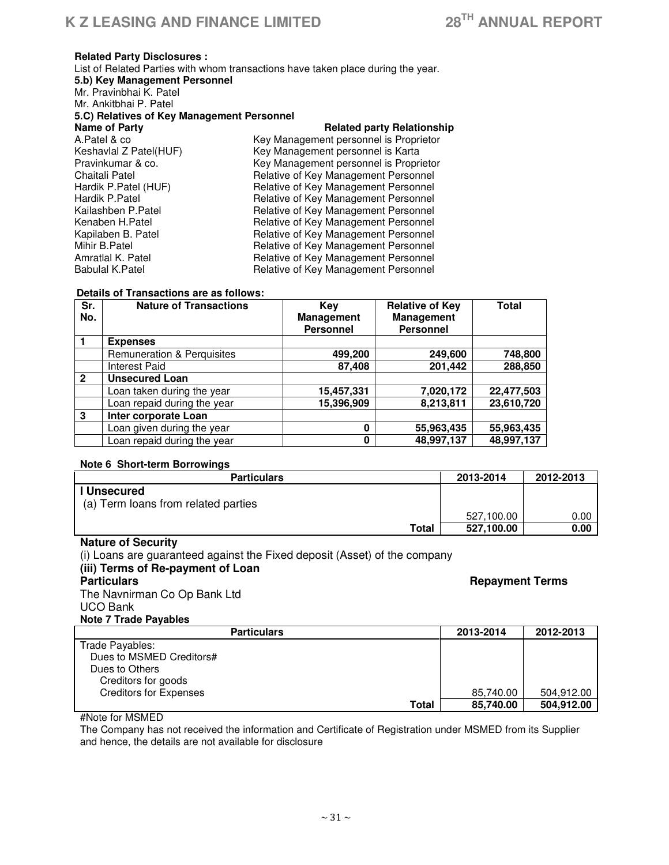$\overline{\phantom{0}}$ 

#### **Related Party Disclosures :**

List of Related Parties with whom transactions have taken place during the year. **5.b) Key Management Personnel**  Mr. Pravinbhai K. Patel Mr. Ankitbhai P. Patel **5.C) Relatives of Key Management Personnel Related party Relationship** A.Patel & co **A.Patel & Community Control** is Proprietor Key Management personnel is Proprietor Keshavlal Z Patel Keshavlal Z Patel(HUF) Key Management personnel is Karta<br>Pravinkumar & co. The Key Management personnel is Propri Pravinkumar & co. <br>Chaitali Patel **Research State Chaitali Patel** Patel Chaitali Patel **Chaitali Patel** Chaitali Patel **Chaitali Patel Chaitali Patel Accord Personnel**<br>
Hardik P.Patel (HUF) **Relative of Key Management Personnel** Hardik P.Patel (HUF) **Relative of Key Management Personnel**<br>Hardik P.Patel **Relative of Key Management Personnel** Hardik P.Patel **Relative of Key Management Personnel**<br>
Kailashben P.Patel **Relative of Key Management Personnel** Kailashben P.Patel **Relative of Key Management Personnel**<br>Kenaben H.Patel **Relative of Key Management Personnel** Kenaben H.Patel **Relative of Key Management Personnel**<br>
Kapilaben B. Patel **Relative of Key Management Personnel** Kapilaben B. Patel **Relative of Key Management Personnel**<br>Mihir B. Patel **Relative of Key Management Personnel** Mihir B.Patel **Relative of Key Management Personnel**<br>Amratlal K. Patel **Relative of Key Management Personnel** Amratlal K. Patel **Relative of Key Management Personnel**<br>
Relative of Key Management Personnel Relative of Key Management Personnel

#### **Details of Transactions are as follows:**

| Sr.<br>No.   | <b>Nature of Transactions</b>         | Kev<br><b>Management</b><br><b>Personnel</b> | <b>Relative of Key</b><br>Management<br><b>Personnel</b> | Total      |
|--------------|---------------------------------------|----------------------------------------------|----------------------------------------------------------|------------|
|              | <b>Expenses</b>                       |                                              |                                                          |            |
|              | <b>Remuneration &amp; Perquisites</b> | 499,200                                      | 249,600                                                  | 748,800    |
|              | <b>Interest Paid</b>                  | 87,408                                       | 201,442                                                  | 288,850    |
| $\mathbf{2}$ | <b>Unsecured Loan</b>                 |                                              |                                                          |            |
|              | Loan taken during the year            | 15,457,331                                   | 7,020,172                                                | 22,477,503 |
|              | Loan repaid during the year           | 15,396,909                                   | 8,213,811                                                | 23,610,720 |
| 3            | Inter corporate Loan                  |                                              |                                                          |            |
|              | Loan given during the year            | 0                                            | 55,963,435                                               | 55,963,435 |
|              | Loan repaid during the year           | 0                                            | 48,997,137                                               | 48,997,137 |

#### **Note 6 Short-term Borrowings**

| <b>Particulars</b>                  | 2013-2014  | 2012-2013 |
|-------------------------------------|------------|-----------|
| l Unsecured                         |            |           |
| (a) Term loans from related parties |            |           |
|                                     | 527.100.00 | 0.00      |
| Total                               | 527,100.00 | 0.00      |

#### **Nature of Security**

(i) Loans are guaranteed against the Fixed deposit (Asset) of the company **(iii) Terms of Re-payment of Loan Particulars Repayment Terms** The Navnirman Co Op Bank Ltd UCO Bank **Note 7 Trade Payables** 

| <b>Particulars</b>            | 2013-2014 | 2012-2013  |
|-------------------------------|-----------|------------|
| Trade Payables:               |           |            |
| Dues to MSMED Creditors#      |           |            |
| Dues to Others                |           |            |
| Creditors for goods           |           |            |
| <b>Creditors for Expenses</b> | 85.740.00 | 504.912.00 |
| Total                         | 85,740.00 | 504,912.00 |

#Note for MSMED

The Company has not received the information and Certificate of Registration under MSMED from its Supplier and hence, the details are not available for disclosure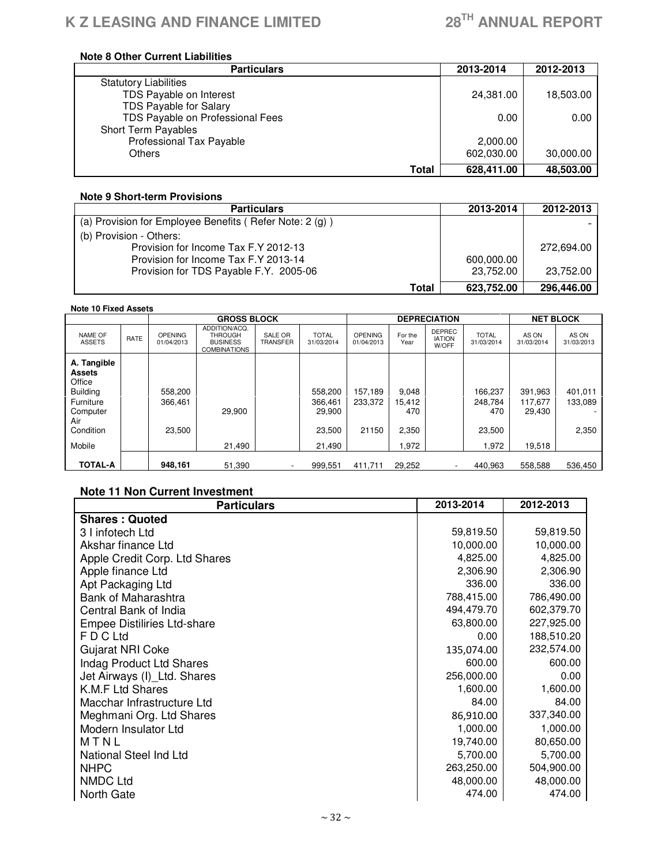# **Note 8 Other Current Liabilities**

| <b>Particulars</b>               | 2013-2014  | 2012-2013 |
|----------------------------------|------------|-----------|
| <b>Statutory Liabilities</b>     |            |           |
| TDS Payable on Interest          | 24,381.00  | 18,503.00 |
| TDS Payable for Salary           |            |           |
| TDS Payable on Professional Fees | 0.00       | 0.00      |
| Short Term Payables              |            |           |
| Professional Tax Payable         | 2,000.00   |           |
| Others                           | 602,030.00 | 30,000.00 |
| Total                            | 628,411.00 | 48,503.00 |

#### **Note 9 Short-term Provisions**

| <b>Particulars</b>                                        | 2013-2014  | 2012-2013  |
|-----------------------------------------------------------|------------|------------|
| (a) Provision for Employee Benefits (Refer Note: $2(g)$ ) |            |            |
| (b) Provision - Others:                                   |            |            |
| Provision for Income Tax F.Y 2012-13                      |            | 272,694.00 |
| Provision for Income Tax F.Y 2013-14                      | 600,000.00 |            |
| Provision for TDS Payable F.Y. 2005-06                    | 23,752.00  | 23,752.00  |
| Total                                                     | 623.752.00 | 296,446.00 |

#### **Note 10 Fixed Assets**

|                                                                                                           |      |                              | <b>GROSS BLOCK</b>                                                        |                            |                                                  |                              |                                          | <b>DEPRECIATION</b>                     |                                              | <b>NET BLOCK</b>                       |                             |
|-----------------------------------------------------------------------------------------------------------|------|------------------------------|---------------------------------------------------------------------------|----------------------------|--------------------------------------------------|------------------------------|------------------------------------------|-----------------------------------------|----------------------------------------------|----------------------------------------|-----------------------------|
| NAME OF<br><b>ASSETS</b>                                                                                  | RATE | <b>OPENING</b><br>01/04/2013 | ADDITION/ACQ.<br><b>THROUGH</b><br><b>BUSINESS</b><br><b>COMBINATIONS</b> | SALE OR<br><b>TRANSFER</b> | <b>TOTAL</b><br>31/03/2014                       | <b>OPENING</b><br>01/04/2013 | For the<br>Year                          | <b>DEPREC</b><br><b>IATION</b><br>W/OFF | <b>TOTAL</b><br>31/03/2014                   | AS ON<br>31/03/2014                    | AS ON<br>31/03/2013         |
| A. Tangible<br>Assets<br>Office<br><b>Building</b><br>Furniture<br>Computer<br>Air<br>Condition<br>Mobile |      | 558,200<br>366,461<br>23.500 | 29,900<br>21.490                                                          |                            | 558,200<br>366,461<br>29,900<br>23,500<br>21.490 | 157,189<br>233,372<br>21150  | 9,048<br>15,412<br>470<br>2,350<br>1.972 |                                         | 166.237<br>248.784<br>470<br>23,500<br>1,972 | 391,963<br>117.677<br>29,430<br>19,518 | 401,011<br>133,089<br>2,350 |
| <b>TOTAL-A</b>                                                                                            |      | 948.161                      | 51.390                                                                    | $\overline{\phantom{a}}$   | 999.551                                          | 411.711                      | 29,252                                   | $\overline{\phantom{a}}$                | 440.963                                      | 558,588                                | 536,450                     |

# **Note 11 Non Current Investment**

| <b>Particulars</b>                 | 2013-2014  | 2012-2013  |
|------------------------------------|------------|------------|
| <b>Shares: Quoted</b>              |            |            |
| 3 I infotech Ltd                   | 59,819.50  | 59,819.50  |
| Akshar finance Ltd                 | 10,000.00  | 10,000.00  |
| Apple Credit Corp. Ltd Shares      | 4,825.00   | 4,825.00   |
| Apple finance Ltd                  | 2,306.90   | 2,306.90   |
| Apt Packaging Ltd                  | 336.00     | 336.00     |
| Bank of Maharashtra                | 788,415.00 | 786,490.00 |
| Central Bank of India              | 494,479.70 | 602,379.70 |
| <b>Empee Distiliries Ltd-share</b> | 63,800.00  | 227,925.00 |
| F D C Ltd                          | 0.00       | 188,510.20 |
| Gujarat NRI Coke                   | 135,074.00 | 232,574.00 |
| Indag Product Ltd Shares           | 600.00     | 600.00     |
| Jet Airways (I) Ltd. Shares        | 256,000.00 | 0.00       |
| K.M.F Ltd Shares                   | 1,600.00   | 1,600.00   |
| Macchar Infrastructure Ltd         | 84.00      | 84.00      |
| Meghmani Org. Ltd Shares           | 86,910.00  | 337,340.00 |
| Modern Insulator Ltd               | 1,000.00   | 1,000.00   |
| MTNL                               | 19,740.00  | 80,650.00  |
| National Steel Ind Ltd             | 5,700.00   | 5,700.00   |
| <b>NHPC</b>                        | 263,250.00 | 504,900.00 |
| <b>NMDC Ltd</b>                    | 48,000.00  | 48,000.00  |
| North Gate                         | 474.00     | 474.00     |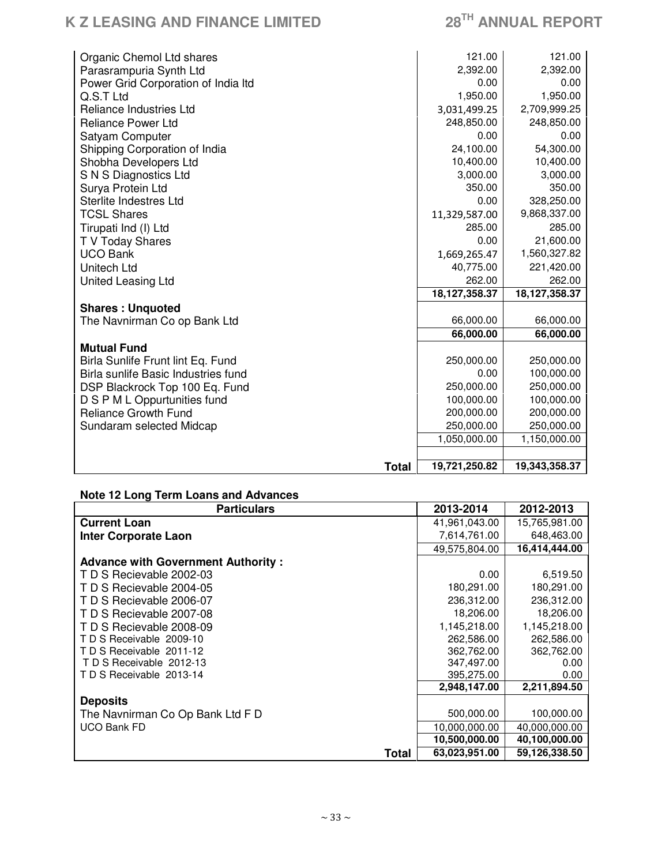# **K Z LEASING AND FINANCE LIMITED 28TH ANNUAL REPORT**

| Organic Chemol Ltd shares           | 121.00        | 121.00        |
|-------------------------------------|---------------|---------------|
| Parasrampuria Synth Ltd             | 2,392.00      | 2,392.00      |
| Power Grid Corporation of India Itd | 0.00          | 0.00          |
| Q.S.T Ltd                           | 1,950.00      | 1,950.00      |
| Reliance Industries Ltd             | 3,031,499.25  | 2,709,999.25  |
| <b>Reliance Power Ltd</b>           | 248,850.00    | 248,850.00    |
| Satyam Computer                     | 0.00          | 0.00          |
| Shipping Corporation of India       | 24,100.00     | 54,300.00     |
| Shobha Developers Ltd               | 10,400.00     | 10,400.00     |
| S N S Diagnostics Ltd               | 3,000.00      | 3,000.00      |
| Surya Protein Ltd                   | 350.00        | 350.00        |
| Sterlite Indestres Ltd              | 0.00          | 328,250.00    |
| <b>TCSL Shares</b>                  | 11,329,587.00 | 9,868,337.00  |
| Tirupati Ind (I) Ltd                | 285.00        | 285.00        |
| T V Today Shares                    | 0.00          | 21,600.00     |
| <b>UCO Bank</b>                     | 1,669,265.47  | 1,560,327.82  |
| Unitech Ltd                         | 40,775.00     | 221,420.00    |
| United Leasing Ltd                  | 262.00        | 262.00        |
|                                     | 18,127,358.37 | 18,127,358.37 |
| <b>Shares: Unquoted</b>             |               |               |
| The Navnirman Co op Bank Ltd        | 66,000.00     | 66,000.00     |
|                                     | 66,000.00     | 66,000.00     |
| <b>Mutual Fund</b>                  |               |               |
| Birla Sunlife Frunt lint Eq. Fund   | 250,000.00    | 250,000.00    |
| Birla sunlife Basic Industries fund | 0.00          | 100,000.00    |
| DSP Blackrock Top 100 Eq. Fund      | 250,000.00    | 250,000.00    |
| D S P M L Oppurtunities fund        | 100,000.00    | 100,000.00    |
| <b>Reliance Growth Fund</b>         | 200,000.00    | 200,000.00    |
| Sundaram selected Midcap            | 250,000.00    | 250,000.00    |
|                                     | 1,050,000.00  | 1,150,000.00  |
|                                     |               |               |
| <b>Total</b>                        | 19,721,250.82 | 19,343,358.37 |

# **Note 12 Long Term Loans and Advances**

| <b>Particulars</b>                        | 2013-2014     | 2012-2013     |
|-------------------------------------------|---------------|---------------|
| <b>Current Loan</b>                       | 41,961,043.00 | 15,765,981.00 |
| <b>Inter Corporate Laon</b>               | 7,614,761.00  | 648,463.00    |
|                                           | 49,575,804.00 | 16,414,444.00 |
| <b>Advance with Government Authority:</b> |               |               |
| T D S Recievable 2002-03                  | 0.00          | 6,519.50      |
| T D S Recievable 2004-05                  | 180,291.00    | 180,291.00    |
| T D S Recievable 2006-07                  | 236,312.00    | 236,312.00    |
| T D S Recievable 2007-08                  | 18,206.00     | 18,206.00     |
| T D S Recievable 2008-09                  | 1,145,218.00  | 1,145,218.00  |
| TD S Receivable 2009-10                   | 262,586.00    | 262,586.00    |
| TDS Receivable 2011-12                    | 362,762.00    | 362,762.00    |
| TD S Receivable 2012-13                   | 347,497.00    | 0.00          |
| TD S Receivable 2013-14                   | 395,275.00    | 0.00          |
|                                           | 2,948,147.00  | 2,211,894.50  |
| <b>Deposits</b>                           |               |               |
| The Navnirman Co Op Bank Ltd F D          | 500,000.00    | 100,000.00    |
| <b>UCO Bank FD</b>                        | 10,000,000.00 | 40,000,000.00 |
|                                           | 10,500,000.00 | 40,100,000.00 |
| Total                                     | 63,023,951.00 | 59,126,338.50 |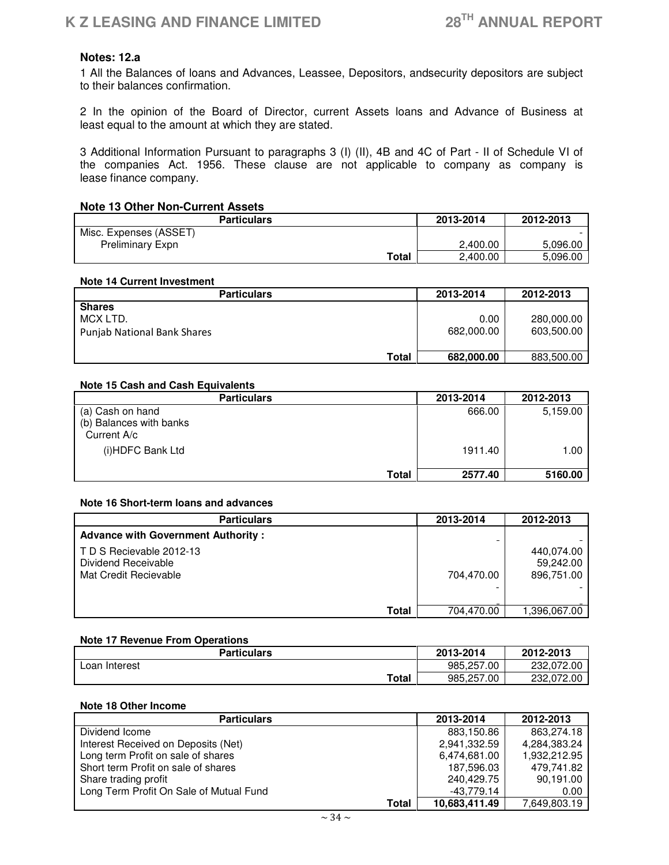# **Notes: 12.a**

1 All the Balances of loans and Advances, Leassee, Depositors, andsecurity depositors are subject to their balances confirmation.

2 In the opinion of the Board of Director, current Assets loans and Advance of Business at least equal to the amount at which they are stated.

3 Additional Information Pursuant to paragraphs 3 (I) (II), 4B and 4C of Part - II of Schedule VI of the companies Act. 1956. These clause are not applicable to company as company is lease finance company.

# **Note 13 Other Non-Current Assets**

| <b>Particulars</b>      | 2013-2014 | 2012-2013 |
|-------------------------|-----------|-----------|
| Misc. Expenses (ASSET)  |           |           |
| <b>Preliminary Expn</b> | 2.400.00  | 5,096.00  |
| Total                   | 2.400.00  | 5,096.00  |

#### **Note 14 Current Investment**

| <b>Particulars</b>                                       | 2013-2014          | 2012-2013                |
|----------------------------------------------------------|--------------------|--------------------------|
| <b>Shares</b><br>MCX LTD.<br>Punjab National Bank Shares | 0.00<br>682.000.00 | 280,000.00<br>603.500.00 |
| Total                                                    | 682,000,00         | 883,500.00               |

#### **Note 15 Cash and Cash Equivalents**

| <b>Particulars</b>                     | 2013-2014 | 2012-2013 |
|----------------------------------------|-----------|-----------|
| (a) Cash on hand                       | 666.00    | 5,159.00  |
| (b) Balances with banks<br>Current A/c |           |           |
|                                        |           |           |
| (i)HDFC Bank Ltd                       | 1911.40   | 1.00      |
| Total                                  | 2577.40   | 5160.00   |

#### **Note 16 Short-term loans and advances**

| <b>Particulars</b>                                                      | 2013-2014  | 2012-2013                             |
|-------------------------------------------------------------------------|------------|---------------------------------------|
| <b>Advance with Government Authority:</b>                               |            |                                       |
| TD S Recievable 2012-13<br>Dividend Receivable<br>Mat Credit Recievable | 704.470.00 | 440,074.00<br>59,242.00<br>896.751.00 |
| Total                                                                   | 704.470.00 | 1,396,067.00                          |

#### **Note 17 Revenue From Operations**

| Particulars   | 2013-2014  | 2012-2013  |
|---------------|------------|------------|
| Loan Interest | 985.257.00 | 232.072.00 |
| <b>Total</b>  | 985.257.00 | 232.072.00 |

#### **Note 18 Other Income**

| <b>Particulars</b>                      | 2013-2014     | 2012-2013    |
|-----------------------------------------|---------------|--------------|
| Dividend Icome                          | 883,150.86    | 863,274.18   |
| Interest Received on Deposits (Net)     | 2,941,332.59  | 4,284,383.24 |
| Long term Profit on sale of shares      | 6,474,681.00  | 1,932,212.95 |
| Short term Profit on sale of shares     | 187,596.03    | 479,741.82   |
| Share trading profit                    | 240.429.75    | 90,191.00    |
| Long Term Profit On Sale of Mutual Fund | -43,779.14    | 0.00         |
| Total                                   | 10,683,411.49 | 7,649,803.19 |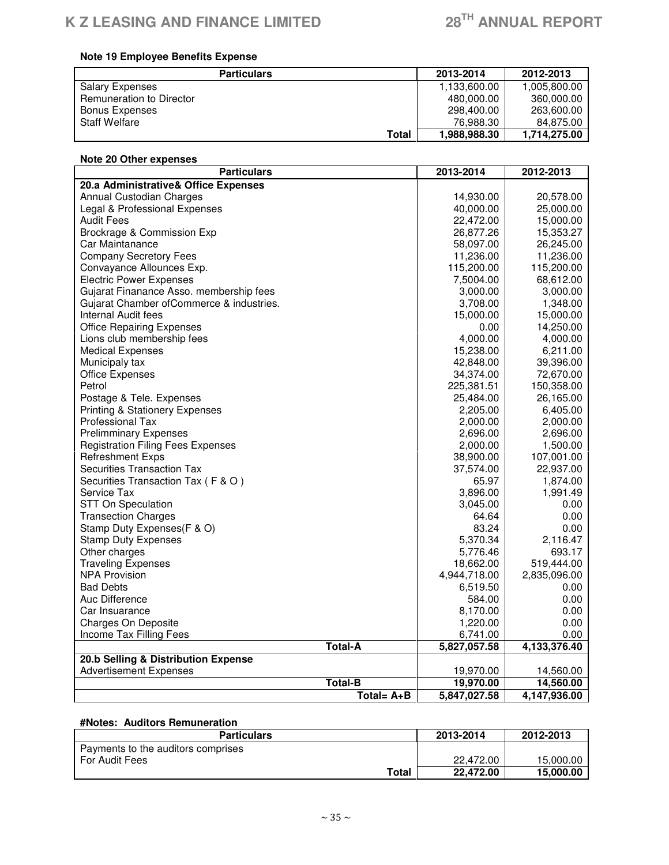# **Note 19 Employee Benefits Expense**

| <b>Particulars</b>       | 2013-2014    | 2012-2013    |
|--------------------------|--------------|--------------|
| <b>Salary Expenses</b>   | 1,133,600.00 | 1,005,800.00 |
| Remuneration to Director | 480.000.00   | 360.000.00   |
| Bonus Expenses           | 298,400.00   | 263,600.00   |
| <b>Staff Welfare</b>     | 76,988.30    | 84.875.00    |
| Total                    | 1,988,988.30 | 1.714.275.00 |

| Note 20 Other expenses                    |  |              |              |  |
|-------------------------------------------|--|--------------|--------------|--|
| <b>Particulars</b>                        |  | 2013-2014    | 2012-2013    |  |
| 20.a Administrative& Office Expenses      |  |              |              |  |
| Annual Custodian Charges                  |  | 14,930.00    | 20,578.00    |  |
| Legal & Professional Expenses             |  | 40,000.00    | 25,000.00    |  |
| <b>Audit Fees</b>                         |  | 22,472.00    | 15,000.00    |  |
| Brockrage & Commission Exp                |  | 26,877.26    | 15,353.27    |  |
| Car Maintanance                           |  | 58,097.00    | 26,245.00    |  |
| <b>Company Secretory Fees</b>             |  | 11,236.00    | 11,236.00    |  |
| Convayance Allounces Exp.                 |  | 115,200.00   | 115,200.00   |  |
| <b>Electric Power Expenses</b>            |  | 7,5004.00    | 68,612.00    |  |
| Gujarat Finanance Asso. membership fees   |  | 3,000.00     | 3,000.00     |  |
| Gujarat Chamber of Commerce & industries. |  | 3,708.00     | 1,348.00     |  |
| Internal Audit fees                       |  | 15,000.00    | 15,000.00    |  |
| <b>Office Repairing Expenses</b>          |  | 0.00         | 14,250.00    |  |
| Lions club membership fees                |  | 4,000.00     | 4,000.00     |  |
| <b>Medical Expenses</b>                   |  | 15,238.00    | 6,211.00     |  |
| Municipaly tax                            |  | 42,848.00    | 39,396.00    |  |
| <b>Office Expenses</b>                    |  | 34,374.00    | 72,670.00    |  |
| Petrol                                    |  | 225,381.51   | 150,358.00   |  |
| Postage & Tele. Expenses                  |  | 25,484.00    | 26,165.00    |  |
| <b>Printing &amp; Stationery Expenses</b> |  | 2,205.00     | 6,405.00     |  |
| <b>Professional Tax</b>                   |  | 2,000.00     | 2,000.00     |  |
| <b>Prelimminary Expenses</b>              |  | 2,696.00     | 2,696.00     |  |
| <b>Registration Filing Fees Expenses</b>  |  | 2,000.00     | 1,500.00     |  |
| <b>Refreshment Exps</b>                   |  | 38,900.00    | 107,001.00   |  |
| <b>Securities Transaction Tax</b>         |  | 37,574.00    | 22,937.00    |  |
| Securities Transaction Tax (F & O)        |  | 65.97        | 1,874.00     |  |
| Service Tax                               |  | 3,896.00     | 1,991.49     |  |
| STT On Speculation                        |  | 3,045.00     | 0.00         |  |
| <b>Transection Charges</b>                |  | 64.64        | 0.00         |  |
| Stamp Duty Expenses(F & O)                |  | 83.24        | 0.00         |  |
| <b>Stamp Duty Expenses</b>                |  | 5,370.34     | 2,116.47     |  |
| Other charges                             |  | 5,776.46     | 693.17       |  |
| <b>Traveling Expenses</b>                 |  | 18,662.00    | 519,444.00   |  |
| <b>NPA Provision</b>                      |  | 4,944,718.00 | 2,835,096.00 |  |
| <b>Bad Debts</b>                          |  | 6,519.50     | 0.00         |  |
| Auc Difference                            |  | 584.00       | 0.00         |  |
| Car Insuarance                            |  | 8,170.00     | 0.00         |  |
| <b>Charges On Deposite</b>                |  | 1,220.00     | 0.00         |  |
| Income Tax Filling Fees                   |  | 6,741.00     | 0.00         |  |
| <b>Total-A</b>                            |  | 5,827,057.58 | 4,133,376.40 |  |
| 20.b Selling & Distribution Expense       |  |              |              |  |
| <b>Advertisement Expenses</b>             |  | 19,970.00    | 14,560.00    |  |
| <b>Total-B</b>                            |  | 19,970.00    | 14,560.00    |  |
| Total= A+B                                |  | 5,847,027.58 | 4,147,936.00 |  |

# **#Notes: Auditors Remuneration**

| <b>Particulars</b>                 | 2013-2014 | 2012-2013 |
|------------------------------------|-----------|-----------|
| Payments to the auditors comprises |           |           |
| For Audit Fees                     | 22,472.00 | 15,000.00 |
| Total                              | 22,472.00 | 15,000,00 |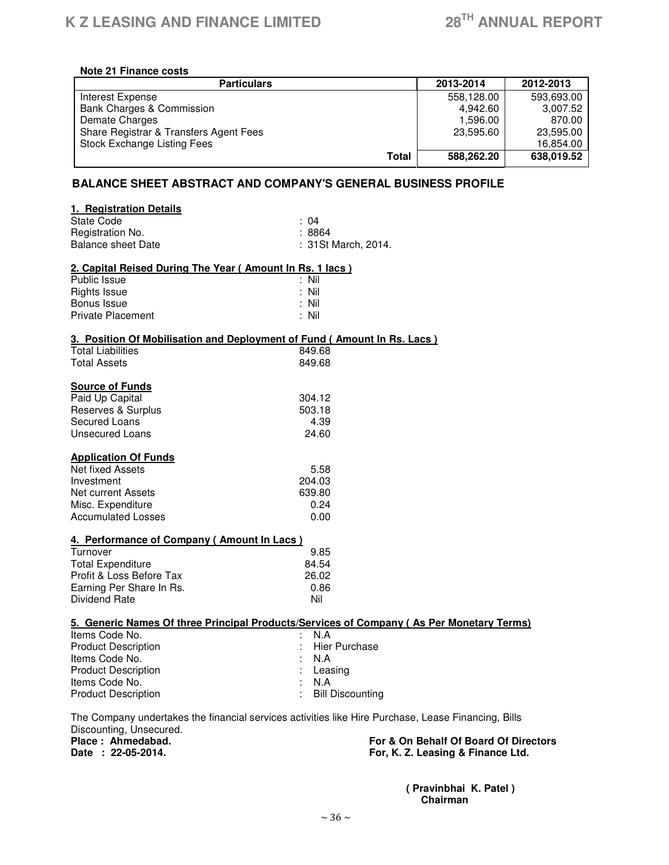#### **Note 21 Finance costs**

| <b>Particulars</b>                     | 2013-2014  | 2012-2013  |
|----------------------------------------|------------|------------|
| Interest Expense                       | 558.128.00 | 593,693.00 |
| Bank Charges & Commission              | 4.942.60   | 3.007.52   |
| Demate Charges                         | 1.596.00   | 870.00     |
| Share Registrar & Transfers Agent Fees | 23,595.60  | 23,595.00  |
| Stock Exchange Listing Fees            |            | 16.854.00  |
| Total                                  | 588.262.20 | 638,019.52 |

# **BALANCE SHEET ABSTRACT AND COMPANY'S GENERAL BUSINESS PROFILE**

| 1. Registration Details                                  |                                                                                                                                                     |  |
|----------------------------------------------------------|-----------------------------------------------------------------------------------------------------------------------------------------------------|--|
| State Code                                               | : 04                                                                                                                                                |  |
| Registration No.                                         | :8864                                                                                                                                               |  |
| <b>Balance sheet Date</b>                                | : 31St March, 2014.                                                                                                                                 |  |
| 2. Capital Reised During The Year (Amount In Rs. 1 lacs) |                                                                                                                                                     |  |
| Public Issue                                             | : Nil                                                                                                                                               |  |
| <b>Rights Issue</b>                                      | : Nil                                                                                                                                               |  |
| Bonus Issue                                              | : Nil                                                                                                                                               |  |
| <b>Private Placement</b>                                 | : Nil                                                                                                                                               |  |
|                                                          | 3. Position Of Mobilisation and Deployment of Fund (Amount In Rs. Lacs)                                                                             |  |
| <b>Total Liabilities</b>                                 | 849.68                                                                                                                                              |  |
| <b>Total Assets</b>                                      | 849.68                                                                                                                                              |  |
| <b>Source of Funds</b>                                   |                                                                                                                                                     |  |
| Paid Up Capital                                          | 304.12                                                                                                                                              |  |
| Reserves & Surplus                                       | 503.18                                                                                                                                              |  |
| Secured Loans                                            | 4.39                                                                                                                                                |  |
| <b>Unsecured Loans</b>                                   | 24.60                                                                                                                                               |  |
| <b>Application Of Funds</b>                              |                                                                                                                                                     |  |
| Net fixed Assets                                         | 5.58                                                                                                                                                |  |
| Investment                                               | 204.03                                                                                                                                              |  |
| <b>Net current Assets</b>                                | 639.80                                                                                                                                              |  |
| Misc. Expenditure                                        | 0.24                                                                                                                                                |  |
| <b>Accumulated Losses</b>                                | 0.00                                                                                                                                                |  |
| 4. Performance of Company (Amount In Lacs)               |                                                                                                                                                     |  |
| Turnover                                                 | 9.85                                                                                                                                                |  |
| <b>Total Expenditure</b>                                 | 84.54                                                                                                                                               |  |
| Profit & Loss Before Tax                                 | 26.02                                                                                                                                               |  |
| Earning Per Share In Rs.                                 | 0.86                                                                                                                                                |  |
| Dividend Rate                                            | Nil                                                                                                                                                 |  |
|                                                          | 5. Generic Names Of three Principal Products/Services of Company (As Per Monetary Terms)                                                            |  |
| Items Code No.                                           | N.A                                                                                                                                                 |  |
| <b>Product Description</b>                               | <b>Hier Purchase</b>                                                                                                                                |  |
| Items Code No.                                           | N.A                                                                                                                                                 |  |
| <b>Product Description</b>                               | Leasing                                                                                                                                             |  |
| Items Code No.                                           | N.A                                                                                                                                                 |  |
| <b>Product Description</b>                               | <b>Bill Discounting</b>                                                                                                                             |  |
|                                                          | $\mathbf{r}$ , $\mathbf{r}$ , $\mathbf{r}$ , $\mathbf{r}$ , $\mathbf{r}$ , $\mathbf{r}$ , $\mathbf{r}$ , $\mathbf{r}$ , $\mathbf{r}$ , $\mathbf{r}$ |  |

The Company undertakes the financial services activities like Hire Purchase, Lease Financing, Bills Discounting, Unsecured.<br>Place: Ahmedabad.

Place : Ahmedabad. **For & On Behalf Of Board Of Directors**<br> **Place : 22-05-2014.** Tor, K. Z. Leasing & Finance Ltd. For, K. Z. Leasing & Finance Ltd.

 **( Pravinbhai K. Patel ) Chairman**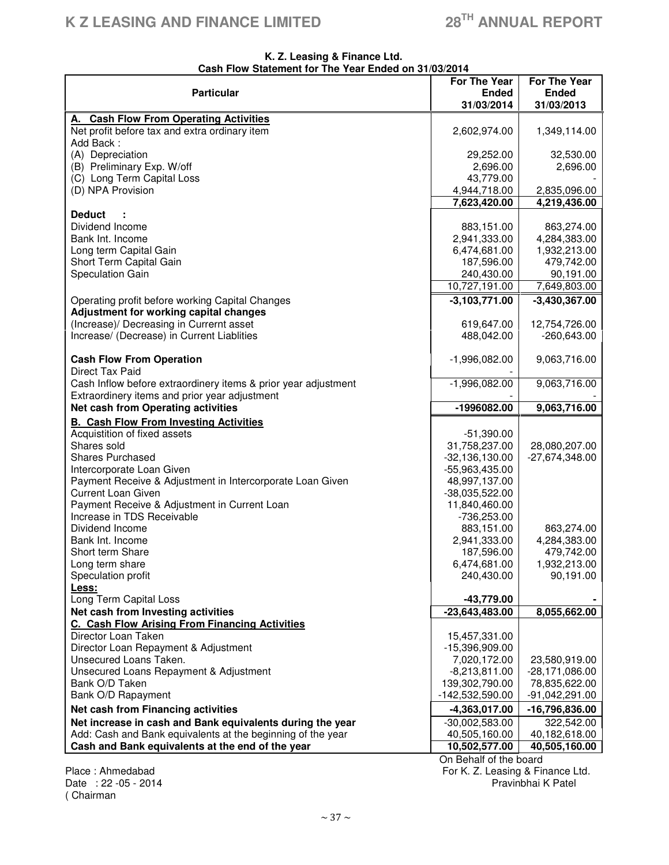#### **K. Z. Leasing & Finance Ltd. Cash Flow Statement for The Year Ended on 31/03/2014**

| <b>Particular</b>                                                                                    | <b>For The Year</b><br><b>Ended</b> | <b>For The Year</b><br><b>Ended</b> |
|------------------------------------------------------------------------------------------------------|-------------------------------------|-------------------------------------|
|                                                                                                      | 31/03/2014                          | 31/03/2013                          |
| A. Cash Flow From Operating Activities<br>Net profit before tax and extra ordinary item<br>Add Back: | 2,602,974.00                        | 1,349,114.00                        |
| (A) Depreciation                                                                                     | 29,252.00                           | 32,530.00                           |
| (B) Preliminary Exp. W/off                                                                           | 2,696.00                            | 2,696.00                            |
| (C) Long Term Capital Loss                                                                           | 43,779.00                           |                                     |
| (D) NPA Provision                                                                                    | 4,944,718.00                        | 2,835,096.00                        |
|                                                                                                      | 7,623,420.00                        | 4,219,436.00                        |
| <b>Deduct</b>                                                                                        |                                     |                                     |
| Dividend Income                                                                                      | 883,151.00                          | 863,274.00                          |
| Bank Int. Income                                                                                     | 2,941,333.00                        | 4,284,383.00                        |
| Long term Capital Gain                                                                               | 6,474,681.00                        | 1,932,213.00                        |
| Short Term Capital Gain<br>Speculation Gain                                                          | 187,596.00<br>240,430.00            | 479,742.00<br>90,191.00             |
|                                                                                                      | 10,727,191.00                       | 7,649,803.00                        |
| Operating profit before working Capital Changes                                                      | $-3,103,771.00$                     | $-3,430,367.00$                     |
| <b>Adjustment for working capital changes</b>                                                        |                                     |                                     |
| (Increase)/ Decreasing in Currernt asset                                                             | 619,647.00                          | 12,754,726.00                       |
| Increase/ (Decrease) in Current Liablities                                                           | 488,042.00                          | $-260,643.00$                       |
|                                                                                                      |                                     |                                     |
| <b>Cash Flow From Operation</b>                                                                      | $-1,996,082.00$                     | 9,063,716.00                        |
| Direct Tax Paid                                                                                      |                                     |                                     |
| Cash Inflow before extraordinery items & prior year adjustment                                       | $-1,996,082.00$                     | 9,063,716.00                        |
| Extraordinery items and prior year adjustment                                                        |                                     |                                     |
| Net cash from Operating activities                                                                   | -1996082.00                         | 9,063,716.00                        |
| <b>B. Cash Flow From Investing Activities</b>                                                        |                                     |                                     |
| Acquistition of fixed assets<br>Shares sold                                                          | $-51,390.00$                        |                                     |
| <b>Shares Purchased</b>                                                                              | 31,758,237.00<br>$-32,136,130.00$   | 28,080,207.00<br>$-27,674,348.00$   |
| Intercorporate Loan Given                                                                            | -55,963,435.00                      |                                     |
| Payment Receive & Adjustment in Intercorporate Loan Given                                            | 48,997,137.00                       |                                     |
| <b>Current Loan Given</b>                                                                            | $-38,035,522.00$                    |                                     |
| Payment Receive & Adjustment in Current Loan                                                         | 11,840,460.00                       |                                     |
| Increase in TDS Receivable                                                                           | -736,253.00                         |                                     |
| Dividend Income                                                                                      | 883,151.00                          | 863,274.00                          |
| Bank Int. Income                                                                                     | 2,941,333.00                        | 4,284,383.00                        |
| Short term Share                                                                                     | 187,596.00                          | 479,742.00                          |
| Long term share<br>Speculation profit                                                                | 6,474,681.00<br>240,430.00          | 1,932,213.00<br>90,191.00           |
| Less:                                                                                                |                                     |                                     |
| Long Term Capital Loss                                                                               | $-43,779.00$                        |                                     |
| Net cash from Investing activities                                                                   | $-23,643,483.00$                    | 8,055,662.00                        |
| C. Cash Flow Arising From Financing Activities                                                       |                                     |                                     |
| Director Loan Taken                                                                                  | 15,457,331.00                       |                                     |
| Director Loan Repayment & Adjustment                                                                 | -15,396,909.00                      |                                     |
| Unsecured Loans Taken.                                                                               | 7,020,172.00                        | 23,580,919.00                       |
| Unsecured Loans Repayment & Adjustment                                                               | $-8,213,811.00$                     | -28,171,086.00                      |
| Bank O/D Taken                                                                                       | 139,302,790.00                      | 78,835,622.00                       |
| Bank O/D Rapayment                                                                                   | -142,532,590.00                     | $-91,042,291.00$                    |
| Net cash from Financing activities                                                                   | $-4,363,017.00$                     | -16,796,836.00                      |
| Net increase in cash and Bank equivalents during the year                                            | $-30,002,583.00$                    | 322,542.00                          |
| Add: Cash and Bank equivalents at the beginning of the year                                          | 40,505,160.00                       | 40,182,618.00                       |
| Cash and Bank equivalents at the end of the year                                                     | 10,502,577.00                       | 40,505,160.00                       |
|                                                                                                      | On Behalf of the board              |                                     |

( Chairman

Place : Ahmedabad For K. Z. Leasing & Finance Ltd. Date : 22 -05 - 2014 **Pravins** 2014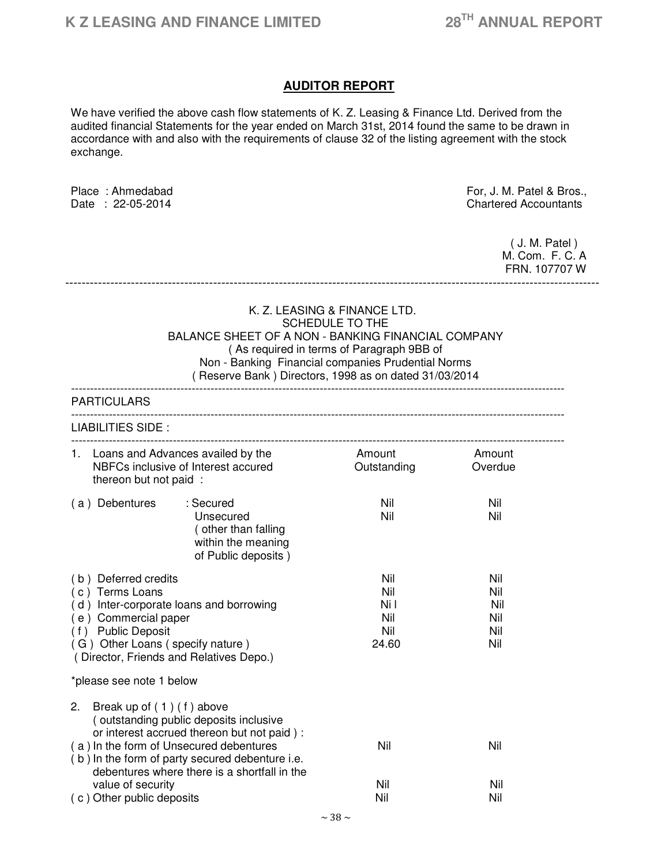# **AUDITOR REPORT**

We have verified the above cash flow statements of K. Z. Leasing & Finance Ltd. Derived from the audited financial Statements for the year ended on March 31st, 2014 found the same to be drawn in accordance with and also with the requirements of clause 32 of the listing agreement with the stock exchange.

Place : Ahmedabad For, J. M. Patel & Bros.,<br>Date : 22-05-2014 Chartered Accountants **Chartered Accountants**  ( J. M. Patel ) M. Com. F. C. A FRN. 107707 W ---------------------------------------------------------------------------------------------------------------------------------- K. Z. LEASING & FINANCE LTD. SCHEDULE TO THE BALANCE SHEET OF A NON - BANKING FINANCIAL COMPANY ( As required in terms of Paragraph 9BB of Non - Banking Financial companies Prudential Norms ( Reserve Bank ) Directors, 1998 as on dated 31/03/2014 ----------------------------------------------------------------------------------------------------------------------------------- **PARTICULARS** ----------------------------------------------------------------------------------------------------------------------------------- LIABILITIES SIDE : ----------------------------------------------------------------------------------------------------------------------------------- 1. Loans and Advances availed by the **Amount** Amount Amount NBFCs inclusive of Interest accured **Outstanding** Overdue thereon but not paid : ( a ) Debentures : Secured Nil Nil Unsecured Nil Nil ( other than falling within the meaning of Public deposits ) ( b ) Deferred credits Nil Nil ( c ) Terms Loans Nil Nil (d) Inter-corporate loans and borrowing Nil Nil Nil Nil ( e ) Commercial paper Nil Nil ( f ) Public Deposit Nil Nil ( G ) Other Loans ( specify nature ) 24.60 Nil ( Director, Friends and Relatives Depo.) \*please see note 1 below 2. Break up of ( 1 ) ( f ) above ( outstanding public deposits inclusive or interest accrued thereon but not paid ) : ( a ) In the form of Unsecured debentures Nil Nil ( b ) In the form of party secured debenture i.e. debentures where there is a shortfall in the

 value of security Nil Nil ( c ) Other public deposits Nil Nil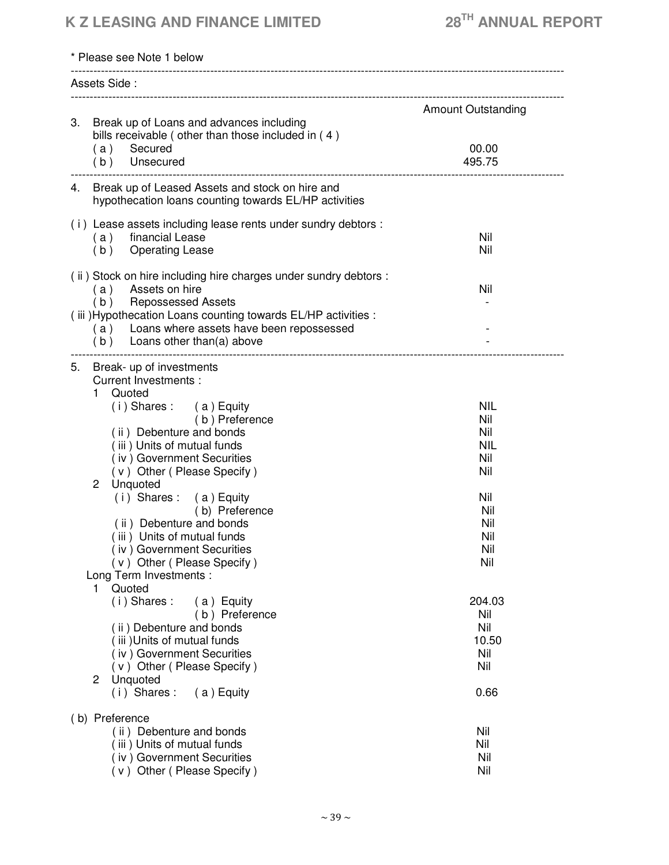# **K Z LEASING AND FINANCE LIMITED 28TH ANNUAL REPORT**

| * Please see Note 1 below                                                                                     |                           |
|---------------------------------------------------------------------------------------------------------------|---------------------------|
| Assets Side:                                                                                                  |                           |
| 3. Break up of Loans and advances including                                                                   | <b>Amount Outstanding</b> |
| bills receivable (other than those included in (4)<br>Secured<br>(a)<br>(b) Unsecured                         | 00.00<br>495.75           |
|                                                                                                               |                           |
| 4. Break up of Leased Assets and stock on hire and<br>hypothecation loans counting towards EL/HP activities   |                           |
| (i) Lease assets including lease rents under sundry debtors :                                                 |                           |
| financial Lease<br>(a)<br>(b)<br><b>Operating Lease</b>                                                       | Nil<br>Nil                |
|                                                                                                               |                           |
| (ii) Stock on hire including hire charges under sundry debtors :<br>Assets on hire<br>(a)                     | Nil                       |
| (b) Repossessed Assets                                                                                        |                           |
| (iii) Hypothecation Loans counting towards EL/HP activities :<br>(a) Loans where assets have been repossessed |                           |
| (b) Loans other than(a) above                                                                                 |                           |
| Break- up of investments<br>5.                                                                                |                           |
| <b>Current Investments:</b>                                                                                   |                           |
| Quoted<br>1                                                                                                   |                           |
| (i) Shares: (a) Equity<br>(b) Preference                                                                      | <b>NIL</b><br>Nil         |
| (ii) Debenture and bonds                                                                                      | Nil                       |
| (iii) Units of mutual funds                                                                                   | <b>NIL</b>                |
| (iv) Government Securities                                                                                    | Nil                       |
| (v) Other (Please Specify)                                                                                    | Nil                       |
| $\mathbf{2}$<br>Unquoted                                                                                      |                           |
| $(i)$ Shares: $(a)$ Equity                                                                                    | Nil                       |
| (b) Preference                                                                                                | Nil                       |
| (ii) Debenture and bonds<br>(iii) Units of mutual funds                                                       | Nil<br>Nil                |
| (iv) Government Securities                                                                                    | Nil                       |
| (v) Other (Please Specify)                                                                                    | Nil                       |
| Long Term Investments :                                                                                       |                           |
| Quoted<br>1                                                                                                   |                           |
| $(i)$ Shares:<br>(a) Equity                                                                                   | 204.03                    |
| (b) Preference                                                                                                | Nil                       |
| (ii) Debenture and bonds                                                                                      | Nil<br>10.50              |
| (iii) Units of mutual funds<br>(iv) Government Securities                                                     | Nil                       |
| (v) Other (Please Specify)                                                                                    | Nil                       |
| Unquoted<br>2                                                                                                 |                           |
| $(i)$ Shares:<br>(a) Equity                                                                                   | 0.66                      |
| (b) Preference                                                                                                |                           |
| (ii) Debenture and bonds                                                                                      | Nil                       |
| (iii) Units of mutual funds                                                                                   | Nil                       |
| (iv) Government Securities                                                                                    | Nil                       |
| (v) Other (Please Specify)                                                                                    | Nil                       |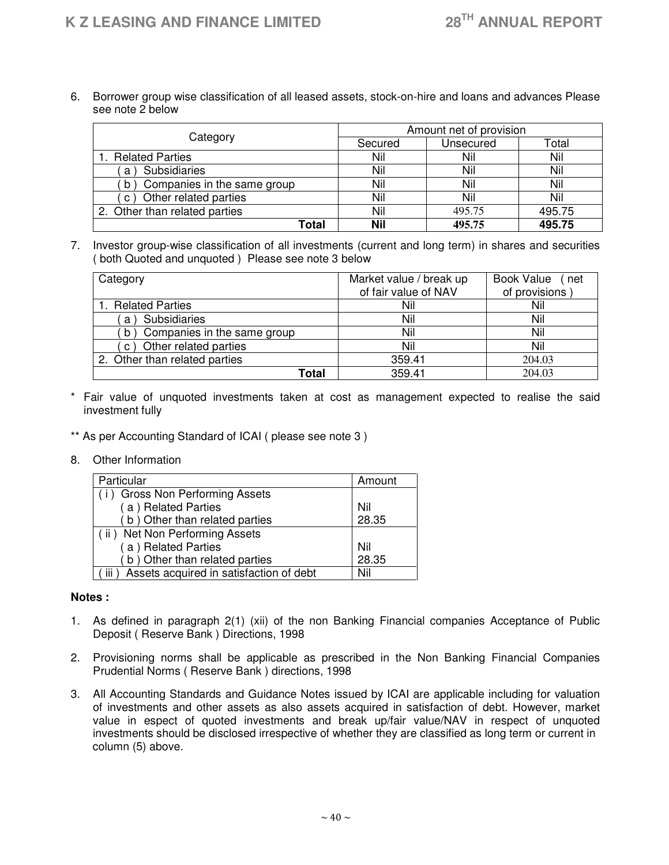6. Borrower group wise classification of all leased assets, stock-on-hire and loans and advances Please see note 2 below

| Category                          | Amount net of provision |           |        |
|-----------------------------------|-------------------------|-----------|--------|
|                                   | Secured                 | Unsecured | Total  |
| 1. Related Parties                | Nil                     | Nil       | Nil    |
| <b>Subsidiaries</b><br>a          | Nil                     | Nil       | Nil    |
| Companies in the same group<br>b) | Nil                     | Nil       | Nil    |
| Other related parties<br>C)       | Nil                     | Nil       | Nil    |
| 2. Other than related parties     | Nil                     | 495.75    | 495.75 |
| Total                             | <b>Nil</b>              | 495.75    | 495.75 |

7. Investor group-wise classification of all investments (current and long term) in shares and securities ( both Quoted and unquoted ) Please see note 3 below

| Category                         | Market value / break up<br>of fair value of NAV | Book Value (net<br>of provisions |
|----------------------------------|-------------------------------------------------|----------------------------------|
| 1. Related Parties               | Nil                                             | Nil                              |
| Subsidiaries<br>a)               | Nil                                             | Nil                              |
| Companies in the same group<br>b | Nil                                             | Nil                              |
| c) Other related parties         | Nil                                             | Nil                              |
| 2. Other than related parties    | 359.41                                          | 204.03                           |
| Total                            | 359.41                                          | 204.03                           |

- \* Fair value of unquoted investments taken at cost as management expected to realise the said investment fully
- \*\* As per Accounting Standard of ICAI ( please see note 3 )
- 8. Other Information

| Particular                                                             | Amount |
|------------------------------------------------------------------------|--------|
| (i) Gross Non Performing Assets                                        |        |
| (a) Related Parties                                                    | Nil    |
| (b) Other than related parties                                         | 28.35  |
| (ii) Net Non Performing Assets                                         |        |
| (a) Related Parties                                                    | Nil    |
| b) Other than related parties                                          | 28.35  |
| Assets acquired in satisfaction of debt<br>$\overline{\mathsf{III}}$ ) | Nil    |

#### **Notes :**

- 1. As defined in paragraph 2(1) (xii) of the non Banking Financial companies Acceptance of Public Deposit ( Reserve Bank ) Directions, 1998
- 2. Provisioning norms shall be applicable as prescribed in the Non Banking Financial Companies Prudential Norms ( Reserve Bank ) directions, 1998
- 3. All Accounting Standards and Guidance Notes issued by ICAI are applicable including for valuation of investments and other assets as also assets acquired in satisfaction of debt. However, market value in espect of quoted investments and break up/fair value/NAV in respect of unquoted investments should be disclosed irrespective of whether they are classified as long term or current in column (5) above.